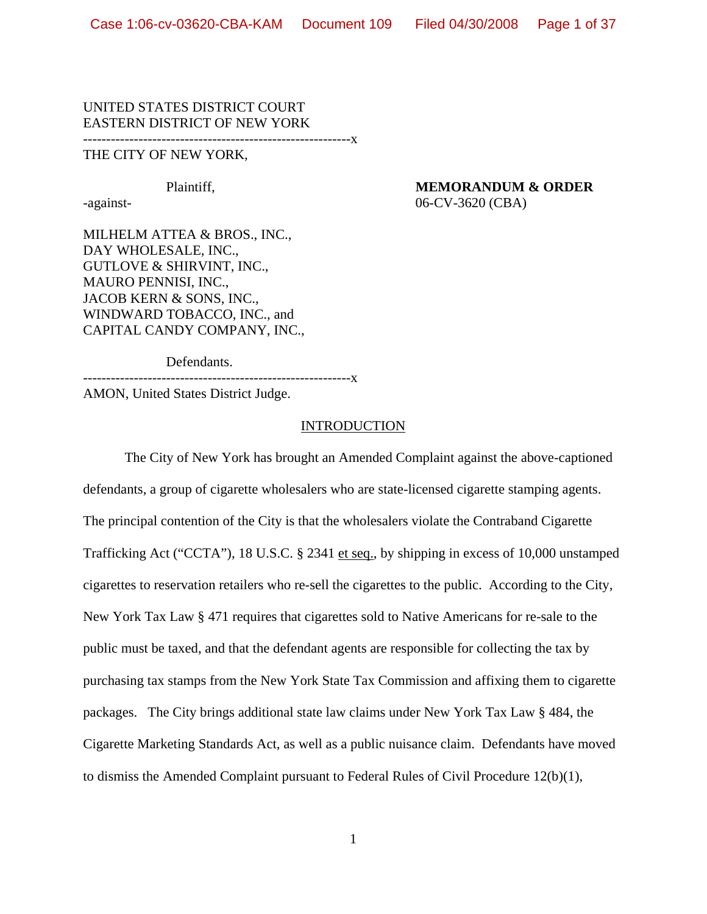#### UNITED STATES DISTRICT COURT EASTERN DISTRICT OF NEW YORK ----------------------------------------------------------x

#### THE CITY OF NEW YORK,

# Plaintiff, **MEMORANDUM & ORDER**

-against- 06-CV-3620 (CBA)

MILHELM ATTEA & BROS., INC., DAY WHOLESALE, INC., GUTLOVE & SHIRVINT, INC., MAURO PENNISI, INC., JACOB KERN & SONS, INC., WINDWARD TOBACCO, INC., and CAPITAL CANDY COMPANY, INC.,

Defendants.

----------------------------------------------------------x

AMON, United States District Judge.

#### INTRODUCTION

The City of New York has brought an Amended Complaint against the above-captioned defendants, a group of cigarette wholesalers who are state-licensed cigarette stamping agents. The principal contention of the City is that the wholesalers violate the Contraband Cigarette Trafficking Act ("CCTA"), 18 U.S.C. § 2341 et seq., by shipping in excess of 10,000 unstamped cigarettes to reservation retailers who re-sell the cigarettes to the public. According to the City, New York Tax Law § 471 requires that cigarettes sold to Native Americans for re-sale to the public must be taxed, and that the defendant agents are responsible for collecting the tax by purchasing tax stamps from the New York State Tax Commission and affixing them to cigarette packages. The City brings additional state law claims under New York Tax Law § 484, the Cigarette Marketing Standards Act, as well as a public nuisance claim. Defendants have moved to dismiss the Amended Complaint pursuant to Federal Rules of Civil Procedure 12(b)(1),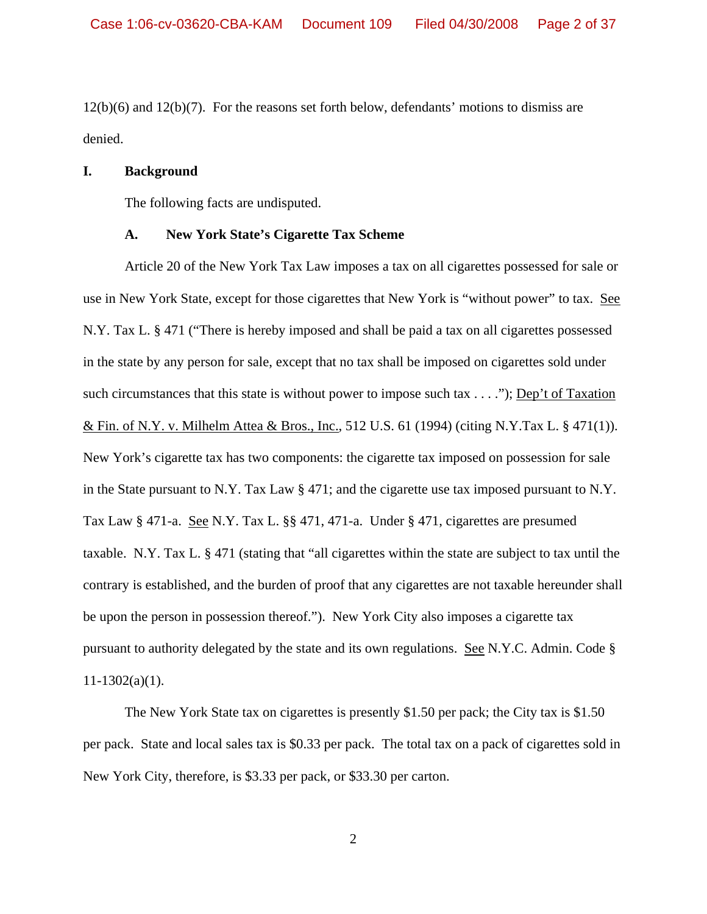12(b)(6) and 12(b)(7). For the reasons set forth below, defendants' motions to dismiss are denied.

## **I. Background**

The following facts are undisputed.

#### **A. New York State's Cigarette Tax Scheme**

Article 20 of the New York Tax Law imposes a tax on all cigarettes possessed for sale or use in New York State, except for those cigarettes that New York is "without power" to tax. See N.Y. Tax L. § 471 ("There is hereby imposed and shall be paid a tax on all cigarettes possessed in the state by any person for sale, except that no tax shall be imposed on cigarettes sold under such circumstances that this state is without power to impose such tax . . . ."); Dep't of Taxation & Fin. of N.Y. v. Milhelm Attea & Bros., Inc., 512 U.S. 61 (1994) (citing N.Y.Tax L. § 471(1)). New York's cigarette tax has two components: the cigarette tax imposed on possession for sale in the State pursuant to N.Y. Tax Law § 471; and the cigarette use tax imposed pursuant to N.Y. Tax Law § 471-a. See N.Y. Tax L. §§ 471, 471-a. Under § 471, cigarettes are presumed taxable. N.Y. Tax L. § 471 (stating that "all cigarettes within the state are subject to tax until the contrary is established, and the burden of proof that any cigarettes are not taxable hereunder shall be upon the person in possession thereof."). New York City also imposes a cigarette tax pursuant to authority delegated by the state and its own regulations. See N.Y.C. Admin. Code §  $11-1302(a)(1)$ .

The New York State tax on cigarettes is presently \$1.50 per pack; the City tax is \$1.50 per pack. State and local sales tax is \$0.33 per pack. The total tax on a pack of cigarettes sold in New York City, therefore, is \$3.33 per pack, or \$33.30 per carton.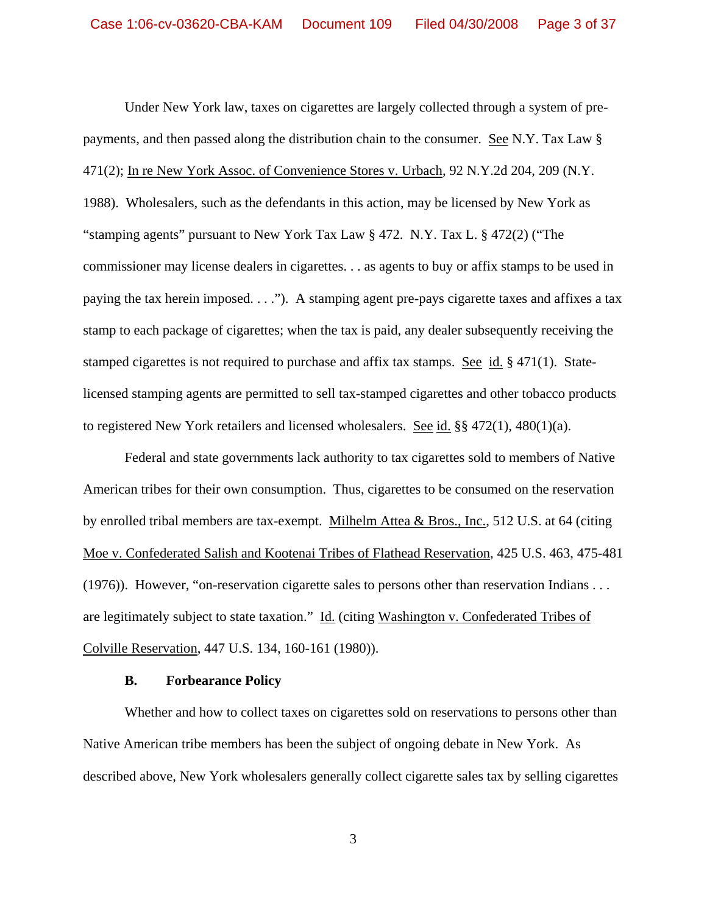Under New York law, taxes on cigarettes are largely collected through a system of prepayments, and then passed along the distribution chain to the consumer. See N.Y. Tax Law § 471(2); In re New York Assoc. of Convenience Stores v. Urbach, 92 N.Y.2d 204, 209 (N.Y. 1988). Wholesalers, such as the defendants in this action, may be licensed by New York as "stamping agents" pursuant to New York Tax Law § 472. N.Y. Tax L. § 472(2) ("The commissioner may license dealers in cigarettes. . . as agents to buy or affix stamps to be used in paying the tax herein imposed. . . ."). A stamping agent pre-pays cigarette taxes and affixes a tax stamp to each package of cigarettes; when the tax is paid, any dealer subsequently receiving the stamped cigarettes is not required to purchase and affix tax stamps. See id. § 471(1). Statelicensed stamping agents are permitted to sell tax-stamped cigarettes and other tobacco products to registered New York retailers and licensed wholesalers. See id.  $\S$ § 472(1), 480(1)(a).

Federal and state governments lack authority to tax cigarettes sold to members of Native American tribes for their own consumption. Thus, cigarettes to be consumed on the reservation by enrolled tribal members are tax-exempt. Milhelm Attea & Bros., Inc., 512 U.S. at 64 (citing Moe v. Confederated Salish and Kootenai Tribes of Flathead Reservation, 425 U.S. 463, 475-481 (1976)). However, "on-reservation cigarette sales to persons other than reservation Indians . . . are legitimately subject to state taxation." Id. (citing Washington v. Confederated Tribes of Colville Reservation, 447 U.S. 134, 160-161 (1980)).

## **B. Forbearance Policy**

Whether and how to collect taxes on cigarettes sold on reservations to persons other than Native American tribe members has been the subject of ongoing debate in New York. As described above, New York wholesalers generally collect cigarette sales tax by selling cigarettes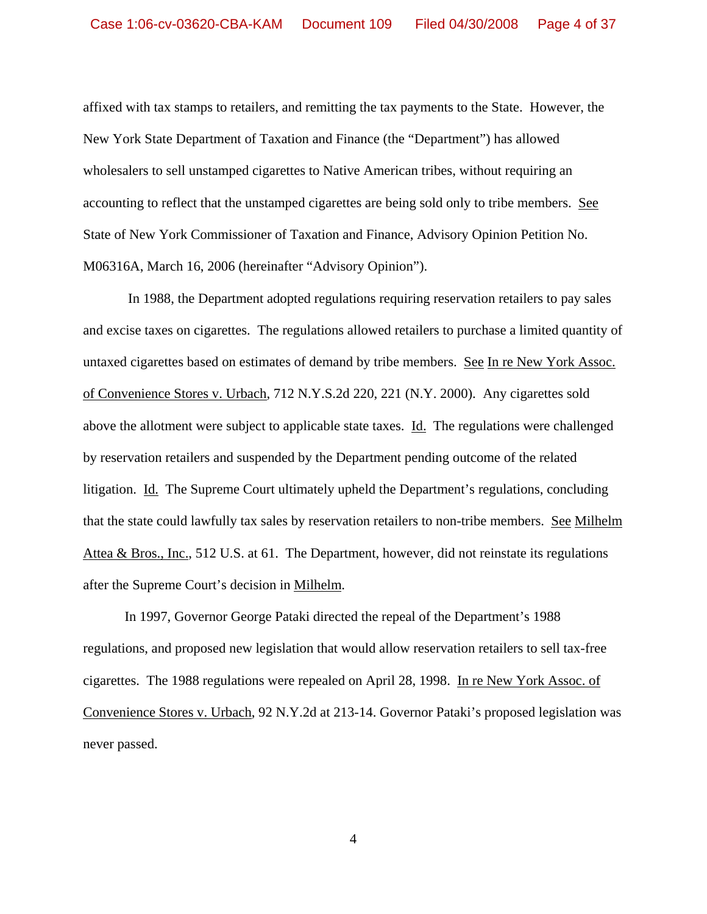affixed with tax stamps to retailers, and remitting the tax payments to the State. However, the New York State Department of Taxation and Finance (the "Department") has allowed wholesalers to sell unstamped cigarettes to Native American tribes, without requiring an accounting to reflect that the unstamped cigarettes are being sold only to tribe members. See State of New York Commissioner of Taxation and Finance, Advisory Opinion Petition No. M06316A, March 16, 2006 (hereinafter "Advisory Opinion").

 In 1988, the Department adopted regulations requiring reservation retailers to pay sales and excise taxes on cigarettes. The regulations allowed retailers to purchase a limited quantity of untaxed cigarettes based on estimates of demand by tribe members. See In re New York Assoc. of Convenience Stores v. Urbach, 712 N.Y.S.2d 220, 221 (N.Y. 2000). Any cigarettes sold above the allotment were subject to applicable state taxes. Id. The regulations were challenged by reservation retailers and suspended by the Department pending outcome of the related litigation. Id. The Supreme Court ultimately upheld the Department's regulations, concluding that the state could lawfully tax sales by reservation retailers to non-tribe members. See Milhelm Attea & Bros., Inc., 512 U.S. at 61. The Department, however, did not reinstate its regulations after the Supreme Court's decision in Milhelm.

In 1997, Governor George Pataki directed the repeal of the Department's 1988 regulations, and proposed new legislation that would allow reservation retailers to sell tax-free cigarettes. The 1988 regulations were repealed on April 28, 1998. In re New York Assoc. of Convenience Stores v. Urbach, 92 N.Y.2d at 213-14. Governor Pataki's proposed legislation was never passed.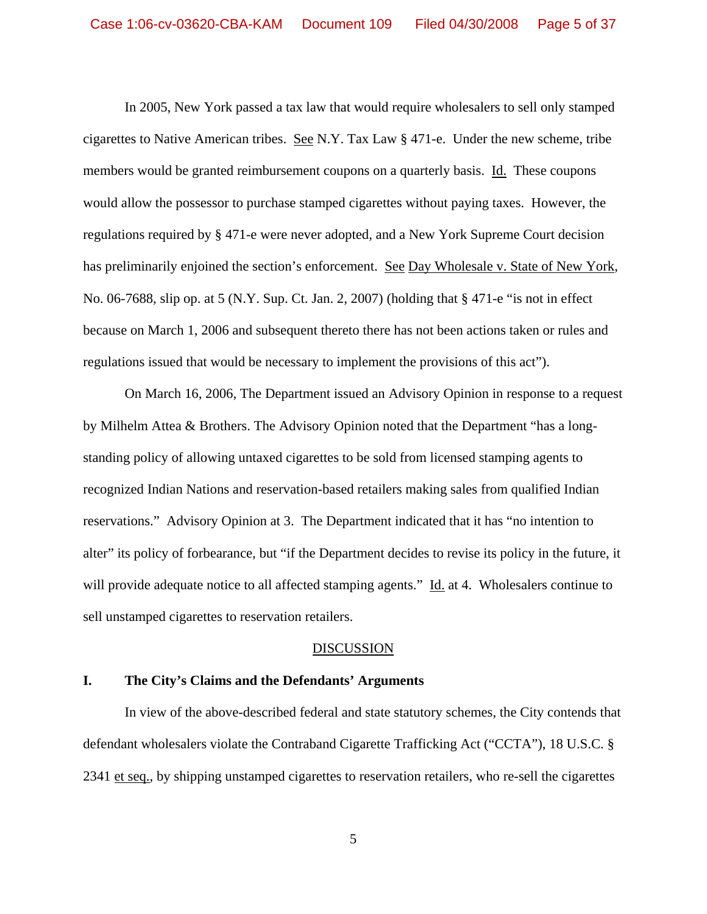In 2005, New York passed a tax law that would require wholesalers to sell only stamped cigarettes to Native American tribes. See N.Y. Tax Law § 471-e. Under the new scheme, tribe members would be granted reimbursement coupons on a quarterly basis. Id. These coupons would allow the possessor to purchase stamped cigarettes without paying taxes. However, the regulations required by § 471-e were never adopted, and a New York Supreme Court decision has preliminarily enjoined the section's enforcement. See Day Wholesale v. State of New York, No. 06-7688, slip op. at 5 (N.Y. Sup. Ct. Jan. 2, 2007) (holding that § 471-e "is not in effect because on March 1, 2006 and subsequent thereto there has not been actions taken or rules and regulations issued that would be necessary to implement the provisions of this act").

On March 16, 2006, The Department issued an Advisory Opinion in response to a request by Milhelm Attea & Brothers. The Advisory Opinion noted that the Department "has a longstanding policy of allowing untaxed cigarettes to be sold from licensed stamping agents to recognized Indian Nations and reservation-based retailers making sales from qualified Indian reservations." Advisory Opinion at 3. The Department indicated that it has "no intention to alter" its policy of forbearance, but "if the Department decides to revise its policy in the future, it will provide adequate notice to all affected stamping agents." Id. at 4. Wholesalers continue to sell unstamped cigarettes to reservation retailers.

#### DISCUSSION

## **I. The City's Claims and the Defendants' Arguments**

In view of the above-described federal and state statutory schemes, the City contends that defendant wholesalers violate the Contraband Cigarette Trafficking Act ("CCTA"), 18 U.S.C. § 2341 et seq., by shipping unstamped cigarettes to reservation retailers, who re-sell the cigarettes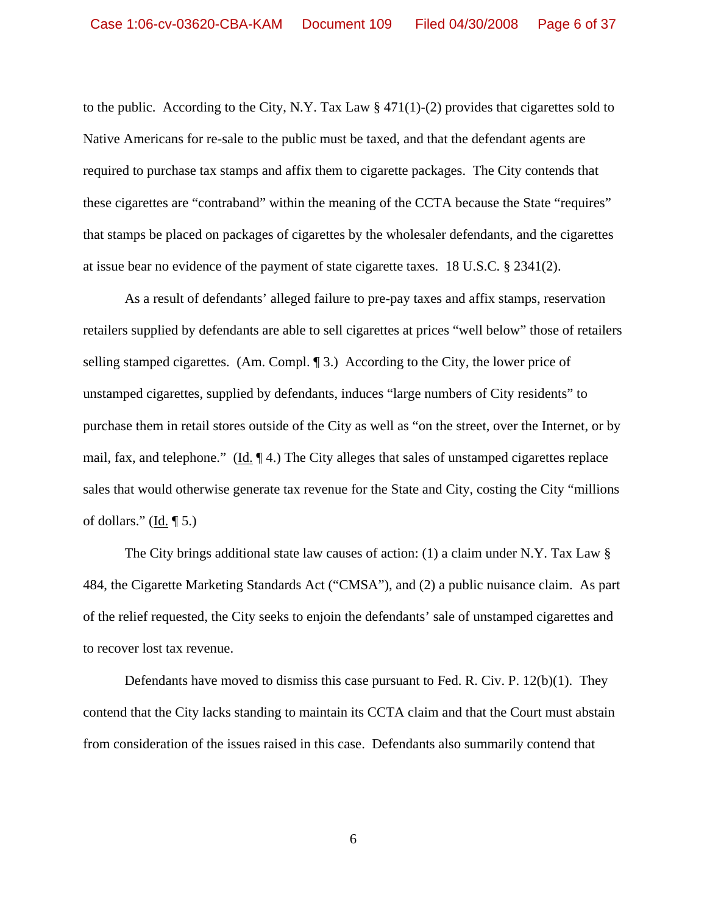to the public. According to the City, N.Y. Tax Law § 471(1)-(2) provides that cigarettes sold to Native Americans for re-sale to the public must be taxed, and that the defendant agents are required to purchase tax stamps and affix them to cigarette packages. The City contends that these cigarettes are "contraband" within the meaning of the CCTA because the State "requires" that stamps be placed on packages of cigarettes by the wholesaler defendants, and the cigarettes at issue bear no evidence of the payment of state cigarette taxes. 18 U.S.C. § 2341(2).

As a result of defendants' alleged failure to pre-pay taxes and affix stamps, reservation retailers supplied by defendants are able to sell cigarettes at prices "well below" those of retailers selling stamped cigarettes. (Am. Compl. 13.) According to the City, the lower price of unstamped cigarettes, supplied by defendants, induces "large numbers of City residents" to purchase them in retail stores outside of the City as well as "on the street, over the Internet, or by mail, fax, and telephone." (Id. ¶ 4.) The City alleges that sales of unstamped cigarettes replace sales that would otherwise generate tax revenue for the State and City, costing the City "millions of dollars." (Id.  $\P$  5.)

The City brings additional state law causes of action: (1) a claim under N.Y. Tax Law § 484, the Cigarette Marketing Standards Act ("CMSA"), and (2) a public nuisance claim. As part of the relief requested, the City seeks to enjoin the defendants' sale of unstamped cigarettes and to recover lost tax revenue.

Defendants have moved to dismiss this case pursuant to Fed. R. Civ. P.  $12(b)(1)$ . They contend that the City lacks standing to maintain its CCTA claim and that the Court must abstain from consideration of the issues raised in this case. Defendants also summarily contend that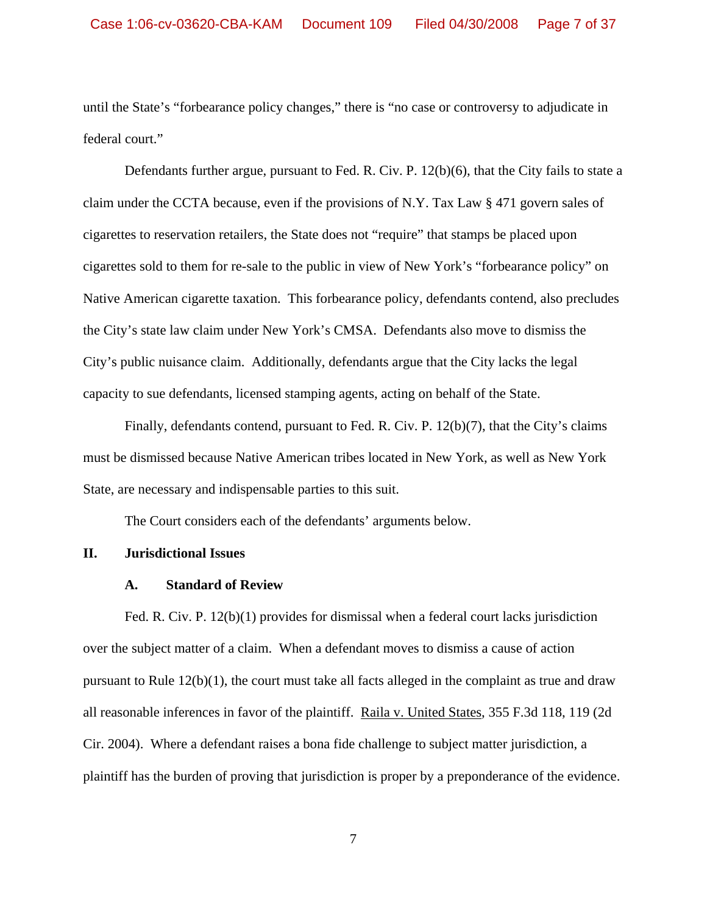until the State's "forbearance policy changes," there is "no case or controversy to adjudicate in federal court."

Defendants further argue, pursuant to Fed. R. Civ. P. 12(b)(6), that the City fails to state a claim under the CCTA because, even if the provisions of N.Y. Tax Law § 471 govern sales of cigarettes to reservation retailers, the State does not "require" that stamps be placed upon cigarettes sold to them for re-sale to the public in view of New York's "forbearance policy" on Native American cigarette taxation. This forbearance policy, defendants contend, also precludes the City's state law claim under New York's CMSA. Defendants also move to dismiss the City's public nuisance claim. Additionally, defendants argue that the City lacks the legal capacity to sue defendants, licensed stamping agents, acting on behalf of the State.

Finally, defendants contend, pursuant to Fed. R. Civ. P. 12(b)(7), that the City's claims must be dismissed because Native American tribes located in New York, as well as New York State, are necessary and indispensable parties to this suit.

The Court considers each of the defendants' arguments below.

## **II. Jurisdictional Issues**

#### **A. Standard of Review**

Fed. R. Civ. P. 12(b)(1) provides for dismissal when a federal court lacks jurisdiction over the subject matter of a claim. When a defendant moves to dismiss a cause of action pursuant to Rule 12(b)(1), the court must take all facts alleged in the complaint as true and draw all reasonable inferences in favor of the plaintiff. Raila v. United States, 355 F.3d 118, 119 (2d Cir. 2004). Where a defendant raises a bona fide challenge to subject matter jurisdiction, a plaintiff has the burden of proving that jurisdiction is proper by a preponderance of the evidence.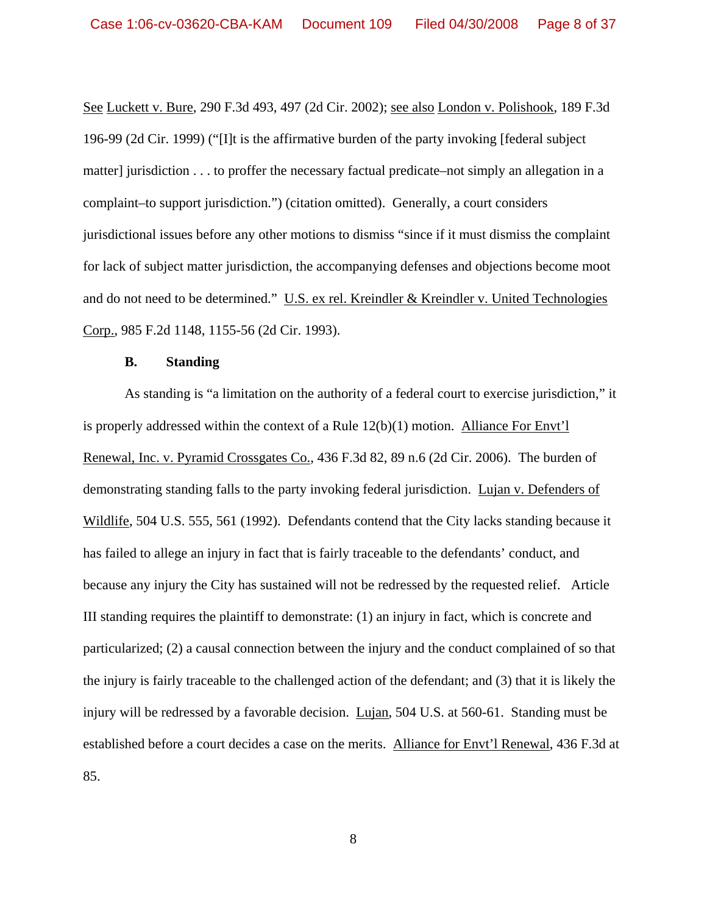See Luckett v. Bure, 290 F.3d 493, 497 (2d Cir. 2002); see also London v. Polishook, 189 F.3d 196-99 (2d Cir. 1999) ("[I]t is the affirmative burden of the party invoking [federal subject matter] jurisdiction . . . to proffer the necessary factual predicate–not simply an allegation in a complaint–to support jurisdiction.") (citation omitted). Generally, a court considers jurisdictional issues before any other motions to dismiss "since if it must dismiss the complaint for lack of subject matter jurisdiction, the accompanying defenses and objections become moot and do not need to be determined." U.S. ex rel. Kreindler & Kreindler v. United Technologies Corp., 985 F.2d 1148, 1155-56 (2d Cir. 1993).

#### **B. Standing**

As standing is "a limitation on the authority of a federal court to exercise jurisdiction," it is properly addressed within the context of a Rule 12(b)(1) motion. Alliance For Envt'l Renewal, Inc. v. Pyramid Crossgates Co., 436 F.3d 82, 89 n.6 (2d Cir. 2006). The burden of demonstrating standing falls to the party invoking federal jurisdiction. Lujan v. Defenders of Wildlife, 504 U.S. 555, 561 (1992). Defendants contend that the City lacks standing because it has failed to allege an injury in fact that is fairly traceable to the defendants' conduct, and because any injury the City has sustained will not be redressed by the requested relief. Article III standing requires the plaintiff to demonstrate: (1) an injury in fact, which is concrete and particularized; (2) a causal connection between the injury and the conduct complained of so that the injury is fairly traceable to the challenged action of the defendant; and (3) that it is likely the injury will be redressed by a favorable decision. Lujan, 504 U.S. at 560-61. Standing must be established before a court decides a case on the merits. Alliance for Envt'l Renewal, 436 F.3d at 85.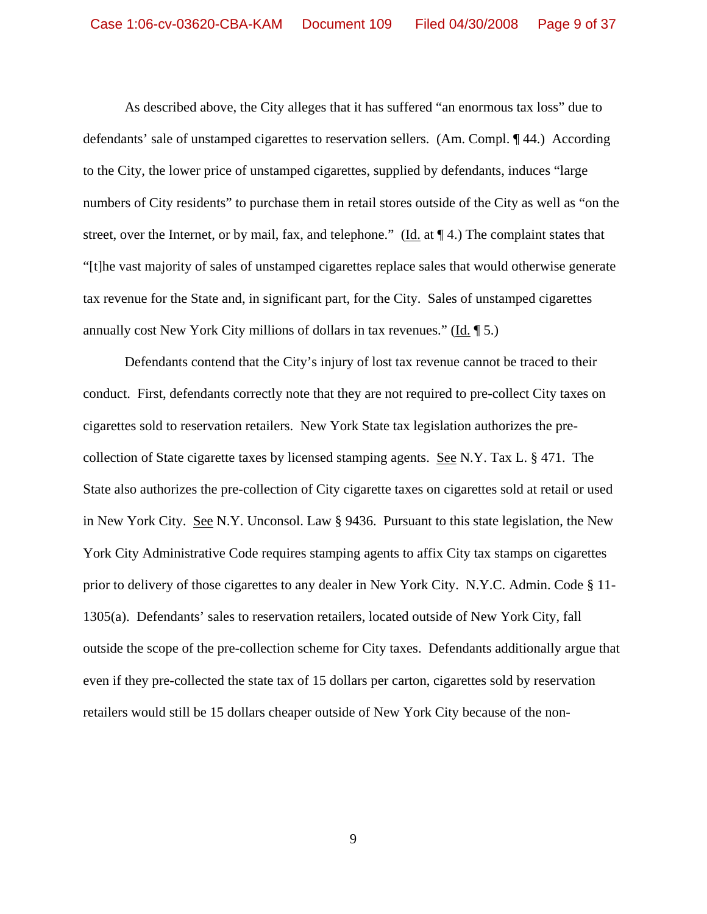As described above, the City alleges that it has suffered "an enormous tax loss" due to defendants' sale of unstamped cigarettes to reservation sellers. (Am. Compl. ¶ 44.) According to the City, the lower price of unstamped cigarettes, supplied by defendants, induces "large numbers of City residents" to purchase them in retail stores outside of the City as well as "on the street, over the Internet, or by mail, fax, and telephone." (Id. at  $\P$  4.) The complaint states that "[t]he vast majority of sales of unstamped cigarettes replace sales that would otherwise generate tax revenue for the State and, in significant part, for the City. Sales of unstamped cigarettes annually cost New York City millions of dollars in tax revenues." (Id. ¶ 5.)

Defendants contend that the City's injury of lost tax revenue cannot be traced to their conduct. First, defendants correctly note that they are not required to pre-collect City taxes on cigarettes sold to reservation retailers. New York State tax legislation authorizes the precollection of State cigarette taxes by licensed stamping agents. See N.Y. Tax L. § 471. The State also authorizes the pre-collection of City cigarette taxes on cigarettes sold at retail or used in New York City. See N.Y. Unconsol. Law § 9436. Pursuant to this state legislation, the New York City Administrative Code requires stamping agents to affix City tax stamps on cigarettes prior to delivery of those cigarettes to any dealer in New York City. N.Y.C. Admin. Code § 11- 1305(a). Defendants' sales to reservation retailers, located outside of New York City, fall outside the scope of the pre-collection scheme for City taxes. Defendants additionally argue that even if they pre-collected the state tax of 15 dollars per carton, cigarettes sold by reservation retailers would still be 15 dollars cheaper outside of New York City because of the non-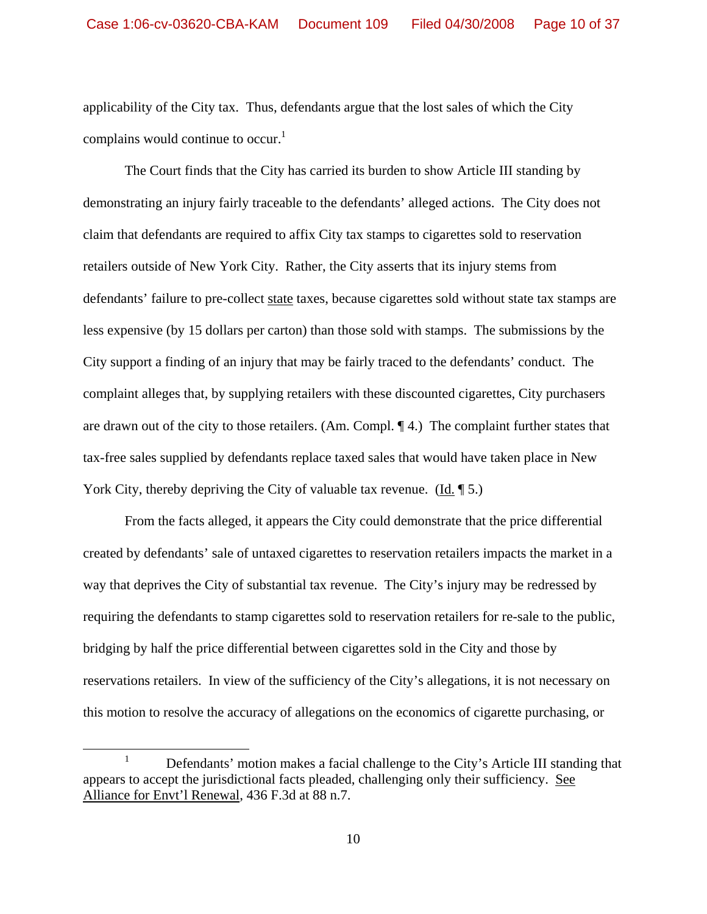applicability of the City tax. Thus, defendants argue that the lost sales of which the City complains would continue to occur. $<sup>1</sup>$ </sup>

 The Court finds that the City has carried its burden to show Article III standing by demonstrating an injury fairly traceable to the defendants' alleged actions. The City does not claim that defendants are required to affix City tax stamps to cigarettes sold to reservation retailers outside of New York City. Rather, the City asserts that its injury stems from defendants' failure to pre-collect state taxes, because cigarettes sold without state tax stamps are less expensive (by 15 dollars per carton) than those sold with stamps. The submissions by the City support a finding of an injury that may be fairly traced to the defendants' conduct. The complaint alleges that, by supplying retailers with these discounted cigarettes, City purchasers are drawn out of the city to those retailers. (Am. Compl. ¶ 4.) The complaint further states that tax-free sales supplied by defendants replace taxed sales that would have taken place in New York City, thereby depriving the City of valuable tax revenue. (Id. 15.)

 From the facts alleged, it appears the City could demonstrate that the price differential created by defendants' sale of untaxed cigarettes to reservation retailers impacts the market in a way that deprives the City of substantial tax revenue. The City's injury may be redressed by requiring the defendants to stamp cigarettes sold to reservation retailers for re-sale to the public, bridging by half the price differential between cigarettes sold in the City and those by reservations retailers. In view of the sufficiency of the City's allegations, it is not necessary on this motion to resolve the accuracy of allegations on the economics of cigarette purchasing, or

 $\frac{1}{1}$ <sup>1</sup> Defendants' motion makes a facial challenge to the City's Article III standing that appears to accept the jurisdictional facts pleaded, challenging only their sufficiency. See Alliance for Envt'l Renewal, 436 F.3d at 88 n.7.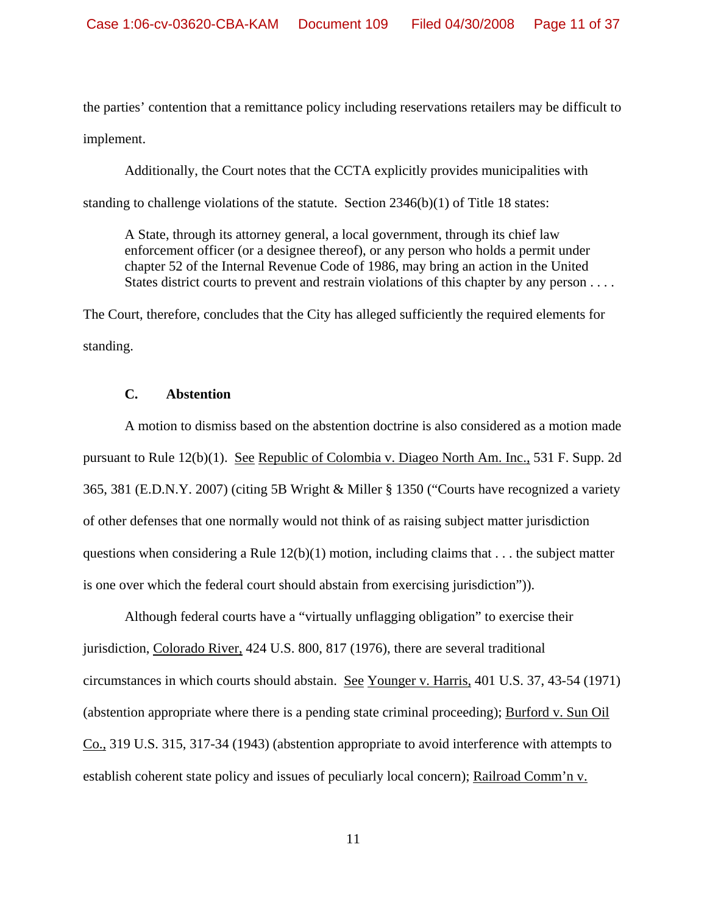the parties' contention that a remittance policy including reservations retailers may be difficult to implement.

 Additionally, the Court notes that the CCTA explicitly provides municipalities with standing to challenge violations of the statute. Section 2346(b)(1) of Title 18 states:

 A State, through its attorney general, a local government, through its chief law enforcement officer (or a designee thereof), or any person who holds a permit under chapter 52 of the Internal Revenue Code of 1986, may bring an action in the United States district courts to prevent and restrain violations of this chapter by any person . . . .

The Court, therefore, concludes that the City has alleged sufficiently the required elements for standing.

## **C. Abstention**

A motion to dismiss based on the abstention doctrine is also considered as a motion made pursuant to Rule 12(b)(1). See Republic of Colombia v. Diageo North Am. Inc., 531 F. Supp. 2d 365, 381 (E.D.N.Y. 2007) (citing 5B Wright & Miller § 1350 ("Courts have recognized a variety of other defenses that one normally would not think of as raising subject matter jurisdiction questions when considering a Rule  $12(b)(1)$  motion, including claims that . . . the subject matter is one over which the federal court should abstain from exercising jurisdiction")).

Although federal courts have a "virtually unflagging obligation" to exercise their jurisdiction, Colorado River, 424 U.S. 800, 817 (1976), there are several traditional circumstances in which courts should abstain. See Younger v. Harris, 401 U.S. 37, 43-54 (1971) (abstention appropriate where there is a pending state criminal proceeding); Burford v. Sun Oil Co., 319 U.S. 315, 317-34 (1943) (abstention appropriate to avoid interference with attempts to establish coherent state policy and issues of peculiarly local concern); Railroad Comm'n v.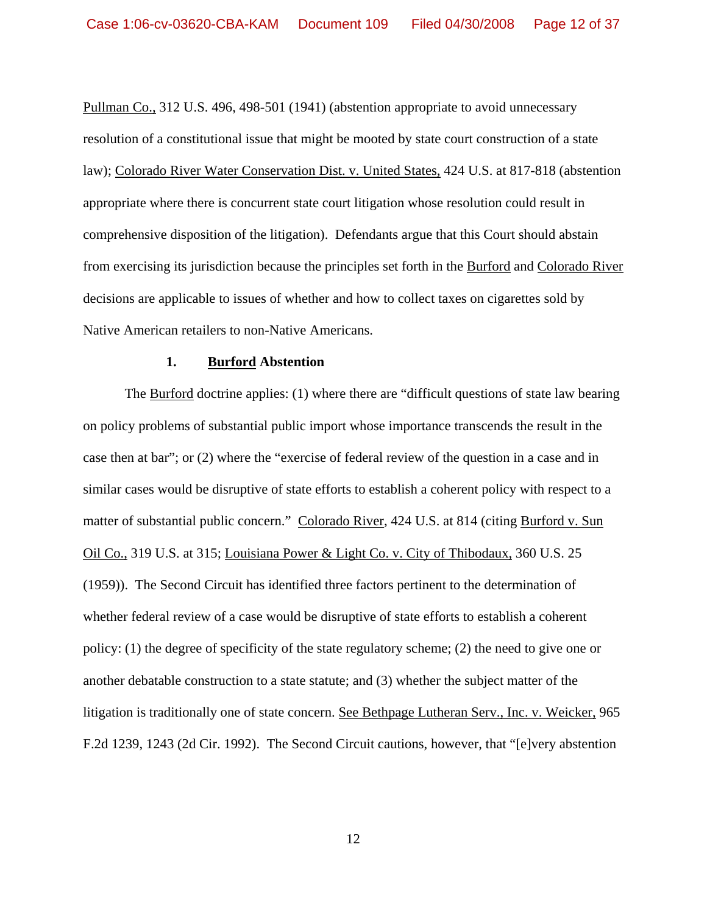Pullman Co., 312 U.S. 496, 498-501 (1941) (abstention appropriate to avoid unnecessary resolution of a constitutional issue that might be mooted by state court construction of a state law); Colorado River Water Conservation Dist. v. United States, 424 U.S. at 817-818 (abstention appropriate where there is concurrent state court litigation whose resolution could result in comprehensive disposition of the litigation). Defendants argue that this Court should abstain from exercising its jurisdiction because the principles set forth in the Burford and Colorado River decisions are applicable to issues of whether and how to collect taxes on cigarettes sold by Native American retailers to non-Native Americans.

#### **1. Burford Abstention**

The Burford doctrine applies: (1) where there are "difficult questions of state law bearing on policy problems of substantial public import whose importance transcends the result in the case then at bar"; or (2) where the "exercise of federal review of the question in a case and in similar cases would be disruptive of state efforts to establish a coherent policy with respect to a matter of substantial public concern." Colorado River, 424 U.S. at 814 (citing Burford v. Sun Oil Co., 319 U.S. at 315; Louisiana Power & Light Co. v. City of Thibodaux, 360 U.S. 25 (1959)). The Second Circuit has identified three factors pertinent to the determination of whether federal review of a case would be disruptive of state efforts to establish a coherent policy: (1) the degree of specificity of the state regulatory scheme; (2) the need to give one or another debatable construction to a state statute; and (3) whether the subject matter of the litigation is traditionally one of state concern. See Bethpage Lutheran Serv., Inc. v. Weicker, 965 F.2d 1239, 1243 (2d Cir. 1992). The Second Circuit cautions, however, that "[e]very abstention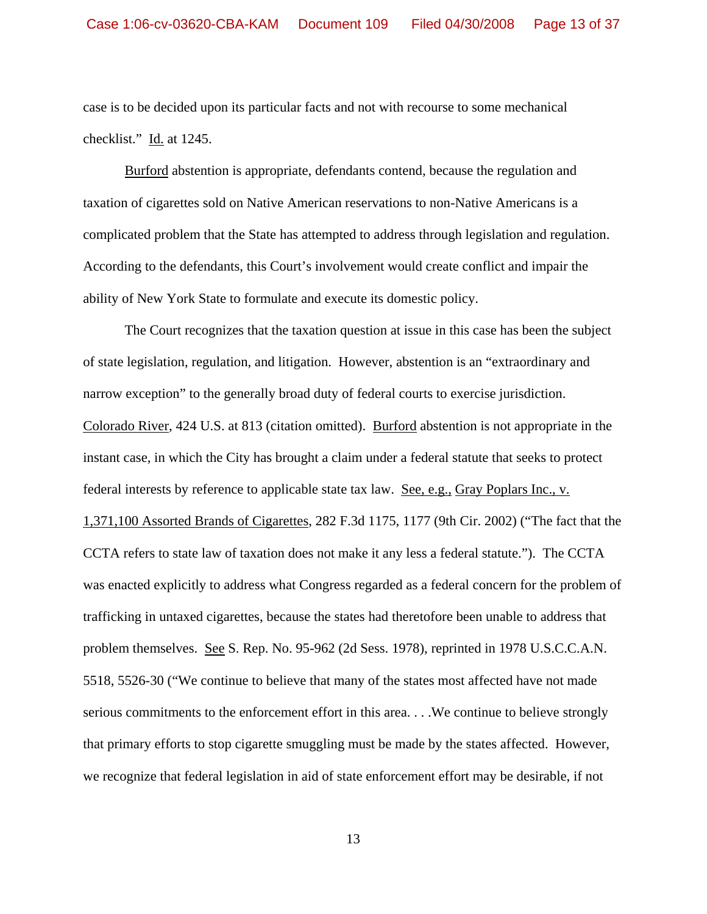case is to be decided upon its particular facts and not with recourse to some mechanical checklist." Id. at 1245.

 Burford abstention is appropriate, defendants contend, because the regulation and taxation of cigarettes sold on Native American reservations to non-Native Americans is a complicated problem that the State has attempted to address through legislation and regulation. According to the defendants, this Court's involvement would create conflict and impair the ability of New York State to formulate and execute its domestic policy.

The Court recognizes that the taxation question at issue in this case has been the subject of state legislation, regulation, and litigation. However, abstention is an "extraordinary and narrow exception" to the generally broad duty of federal courts to exercise jurisdiction. Colorado River, 424 U.S. at 813 (citation omitted). Burford abstention is not appropriate in the instant case, in which the City has brought a claim under a federal statute that seeks to protect federal interests by reference to applicable state tax law. See, e.g., Gray Poplars Inc., v. 1,371,100 Assorted Brands of Cigarettes, 282 F.3d 1175, 1177 (9th Cir. 2002) ("The fact that the CCTA refers to state law of taxation does not make it any less a federal statute."). The CCTA was enacted explicitly to address what Congress regarded as a federal concern for the problem of trafficking in untaxed cigarettes, because the states had theretofore been unable to address that problem themselves. See S. Rep. No. 95-962 (2d Sess. 1978), reprinted in 1978 U.S.C.C.A.N. 5518, 5526-30 ("We continue to believe that many of the states most affected have not made serious commitments to the enforcement effort in this area. . . .We continue to believe strongly that primary efforts to stop cigarette smuggling must be made by the states affected. However, we recognize that federal legislation in aid of state enforcement effort may be desirable, if not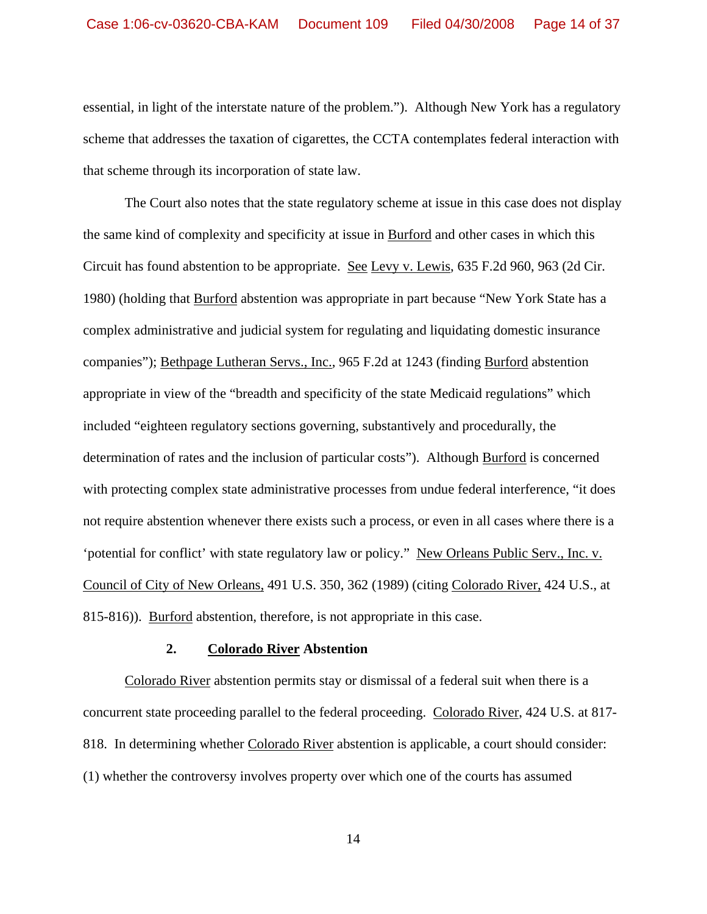essential, in light of the interstate nature of the problem."). Although New York has a regulatory scheme that addresses the taxation of cigarettes, the CCTA contemplates federal interaction with that scheme through its incorporation of state law.

The Court also notes that the state regulatory scheme at issue in this case does not display the same kind of complexity and specificity at issue in Burford and other cases in which this Circuit has found abstention to be appropriate. See Levy v. Lewis, 635 F.2d 960, 963 (2d Cir. 1980) (holding that Burford abstention was appropriate in part because "New York State has a complex administrative and judicial system for regulating and liquidating domestic insurance companies"); Bethpage Lutheran Servs., Inc., 965 F.2d at 1243 (finding Burford abstention appropriate in view of the "breadth and specificity of the state Medicaid regulations" which included "eighteen regulatory sections governing, substantively and procedurally, the determination of rates and the inclusion of particular costs"). Although Burford is concerned with protecting complex state administrative processes from undue federal interference, "it does not require abstention whenever there exists such a process, or even in all cases where there is a 'potential for conflict' with state regulatory law or policy." New Orleans Public Serv., Inc. v. Council of City of New Orleans, 491 U.S. 350, 362 (1989) (citing Colorado River, 424 U.S., at 815-816)). Burford abstention, therefore, is not appropriate in this case.

#### **2. Colorado River Abstention**

Colorado River abstention permits stay or dismissal of a federal suit when there is a concurrent state proceeding parallel to the federal proceeding. Colorado River, 424 U.S. at 817- 818. In determining whether Colorado River abstention is applicable, a court should consider: (1) whether the controversy involves property over which one of the courts has assumed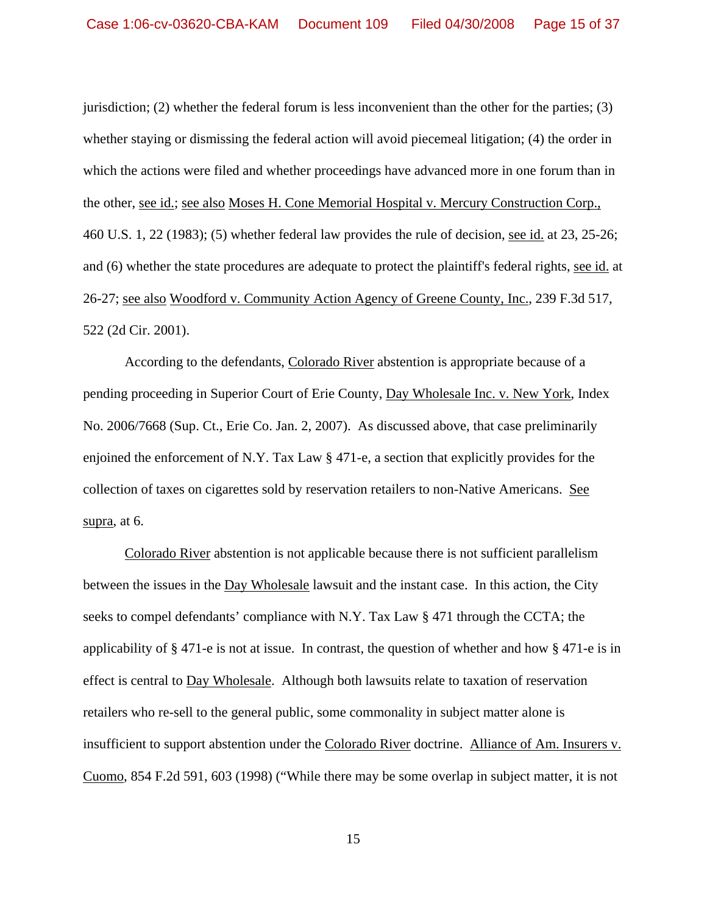jurisdiction; (2) whether the federal forum is less inconvenient than the other for the parties; (3) whether staying or dismissing the federal action will avoid piecemeal litigation; (4) the order in which the actions were filed and whether proceedings have advanced more in one forum than in the other, see id.; see also Moses H. Cone Memorial Hospital v. Mercury Construction Corp., 460 U.S. 1, 22 (1983); (5) whether federal law provides the rule of decision, see id. at 23, 25-26; and (6) whether the state procedures are adequate to protect the plaintiff's federal rights, see id. at 26-27; see also Woodford v. Community Action Agency of Greene County, Inc., 239 F.3d 517, 522 (2d Cir. 2001).

 According to the defendants, Colorado River abstention is appropriate because of a pending proceeding in Superior Court of Erie County, Day Wholesale Inc. v. New York, Index No. 2006/7668 (Sup. Ct., Erie Co. Jan. 2, 2007). As discussed above, that case preliminarily enjoined the enforcement of N.Y. Tax Law § 471-e, a section that explicitly provides for the collection of taxes on cigarettes sold by reservation retailers to non-Native Americans. See supra, at 6.

 Colorado River abstention is not applicable because there is not sufficient parallelism between the issues in the Day Wholesale lawsuit and the instant case. In this action, the City seeks to compel defendants' compliance with N.Y. Tax Law § 471 through the CCTA; the applicability of § 471-e is not at issue. In contrast, the question of whether and how § 471-e is in effect is central to Day Wholesale. Although both lawsuits relate to taxation of reservation retailers who re-sell to the general public, some commonality in subject matter alone is insufficient to support abstention under the Colorado River doctrine. Alliance of Am. Insurers v. Cuomo, 854 F.2d 591, 603 (1998) ("While there may be some overlap in subject matter, it is not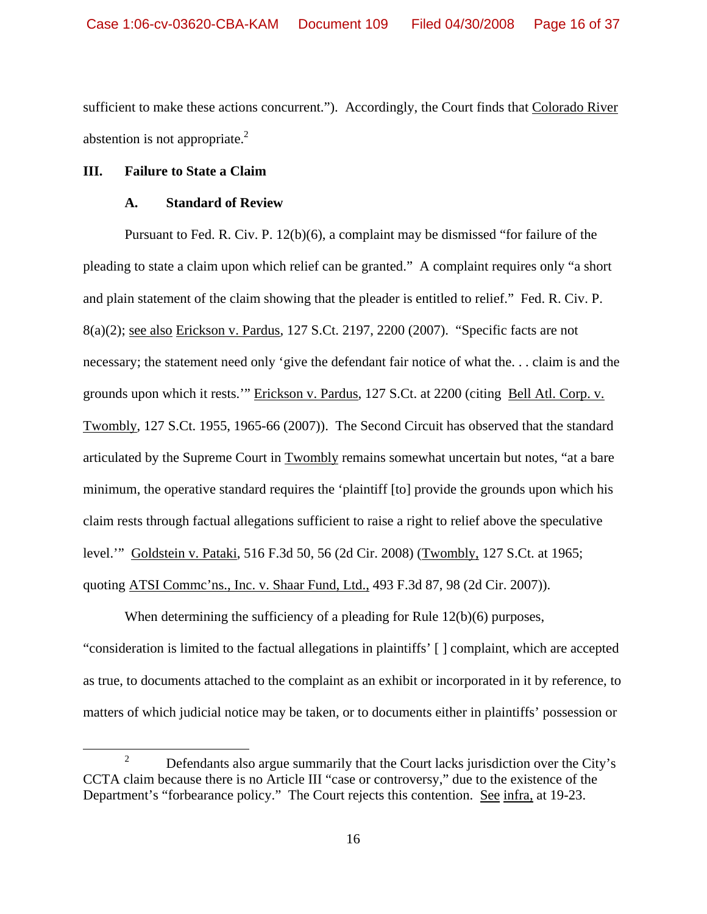sufficient to make these actions concurrent."). Accordingly, the Court finds that Colorado River abstention is not appropriate.<sup>2</sup>

## **III. Failure to State a Claim**

## **A. Standard of Review**

Pursuant to Fed. R. Civ. P. 12(b)(6), a complaint may be dismissed "for failure of the pleading to state a claim upon which relief can be granted." A complaint requires only "a short and plain statement of the claim showing that the pleader is entitled to relief." Fed. R. Civ. P. 8(a)(2); see also Erickson v. Pardus, 127 S.Ct. 2197, 2200 (2007). "Specific facts are not necessary; the statement need only 'give the defendant fair notice of what the. . . claim is and the grounds upon which it rests.'" Erickson v. Pardus, 127 S.Ct. at 2200 (citing Bell Atl. Corp. v. Twombly, 127 S.Ct. 1955, 1965-66 (2007)). The Second Circuit has observed that the standard articulated by the Supreme Court in Twombly remains somewhat uncertain but notes, "at a bare minimum, the operative standard requires the 'plaintiff [to] provide the grounds upon which his claim rests through factual allegations sufficient to raise a right to relief above the speculative level.'" Goldstein v. Pataki, 516 F.3d 50, 56 (2d Cir. 2008) (Twombly, 127 S.Ct. at 1965; quoting ATSI Commc'ns., Inc. v. Shaar Fund, Ltd., 493 F.3d 87, 98 (2d Cir. 2007)).

When determining the sufficiency of a pleading for Rule 12(b)(6) purposes, "consideration is limited to the factual allegations in plaintiffs' [ ] complaint, which are accepted as true, to documents attached to the complaint as an exhibit or incorporated in it by reference, to matters of which judicial notice may be taken, or to documents either in plaintiffs' possession or

 <sup>2</sup>  $\mu$ <sup>2</sup> Defendants also argue summarily that the Court lacks jurisdiction over the City's CCTA claim because there is no Article III "case or controversy," due to the existence of the Department's "forbearance policy." The Court rejects this contention. See infra, at 19-23.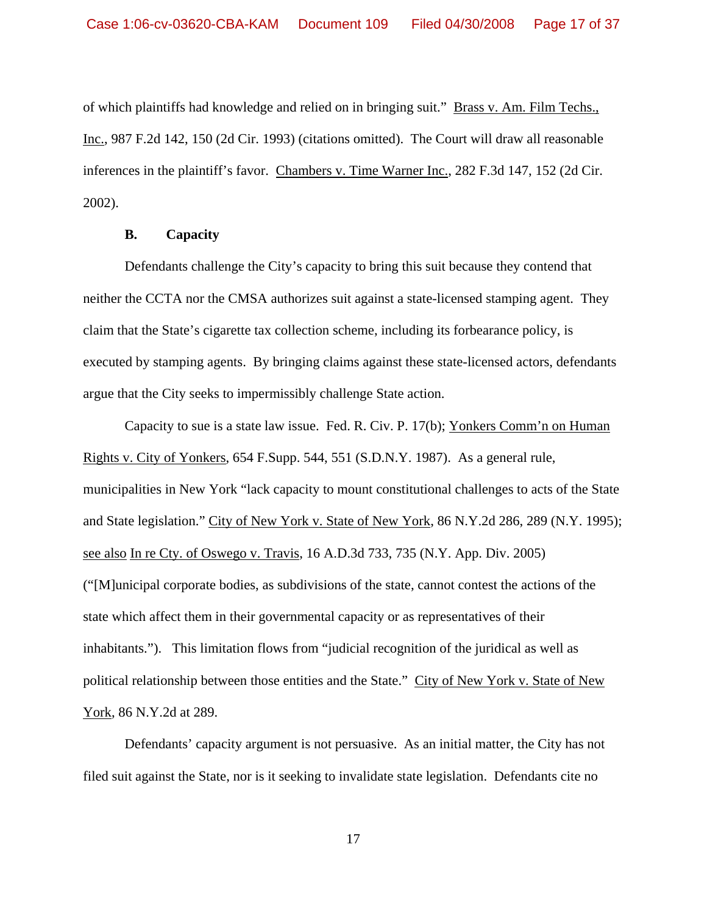of which plaintiffs had knowledge and relied on in bringing suit." Brass v. Am. Film Techs., Inc., 987 F.2d 142, 150 (2d Cir. 1993) (citations omitted). The Court will draw all reasonable inferences in the plaintiff's favor. Chambers v. Time Warner Inc., 282 F.3d 147, 152 (2d Cir. 2002).

## **B. Capacity**

Defendants challenge the City's capacity to bring this suit because they contend that neither the CCTA nor the CMSA authorizes suit against a state-licensed stamping agent. They claim that the State's cigarette tax collection scheme, including its forbearance policy, is executed by stamping agents. By bringing claims against these state-licensed actors, defendants argue that the City seeks to impermissibly challenge State action.

Capacity to sue is a state law issue. Fed. R. Civ. P. 17(b); Yonkers Comm'n on Human Rights v. City of Yonkers, 654 F.Supp. 544, 551 (S.D.N.Y. 1987). As a general rule, municipalities in New York "lack capacity to mount constitutional challenges to acts of the State and State legislation." City of New York v. State of New York, 86 N.Y.2d 286, 289 (N.Y. 1995); see also In re Cty. of Oswego v. Travis, 16 A.D.3d 733, 735 (N.Y. App. Div. 2005) ("[M]unicipal corporate bodies, as subdivisions of the state, cannot contest the actions of the state which affect them in their governmental capacity or as representatives of their inhabitants."). This limitation flows from "judicial recognition of the juridical as well as political relationship between those entities and the State." City of New York v. State of New York, 86 N.Y.2d at 289.

Defendants' capacity argument is not persuasive. As an initial matter, the City has not filed suit against the State, nor is it seeking to invalidate state legislation. Defendants cite no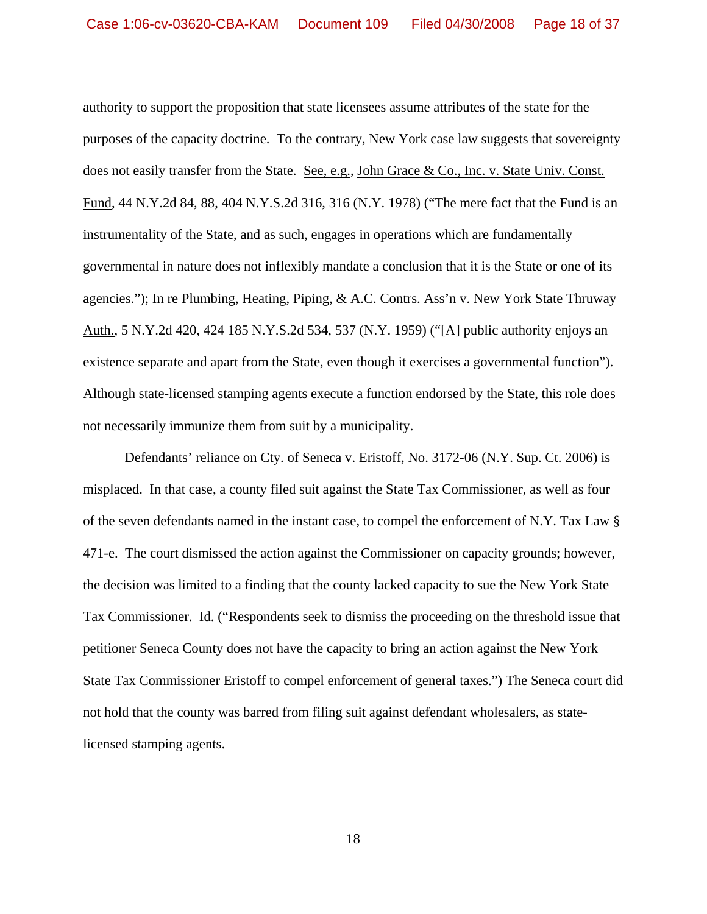authority to support the proposition that state licensees assume attributes of the state for the purposes of the capacity doctrine. To the contrary, New York case law suggests that sovereignty does not easily transfer from the State. See, e.g., John Grace & Co., Inc. v. State Univ. Const. Fund, 44 N.Y.2d 84, 88, 404 N.Y.S.2d 316, 316 (N.Y. 1978) ("The mere fact that the Fund is an instrumentality of the State, and as such, engages in operations which are fundamentally governmental in nature does not inflexibly mandate a conclusion that it is the State or one of its agencies."); In re Plumbing, Heating, Piping, & A.C. Contrs. Ass'n v. New York State Thruway Auth., 5 N.Y.2d 420, 424 185 N.Y.S.2d 534, 537 (N.Y. 1959) ("[A] public authority enjoys an existence separate and apart from the State, even though it exercises a governmental function"). Although state-licensed stamping agents execute a function endorsed by the State, this role does not necessarily immunize them from suit by a municipality.

Defendants' reliance on Cty. of Seneca v. Eristoff, No. 3172-06 (N.Y. Sup. Ct. 2006) is misplaced. In that case, a county filed suit against the State Tax Commissioner, as well as four of the seven defendants named in the instant case, to compel the enforcement of N.Y. Tax Law § 471-e. The court dismissed the action against the Commissioner on capacity grounds; however, the decision was limited to a finding that the county lacked capacity to sue the New York State Tax Commissioner. Id. ("Respondents seek to dismiss the proceeding on the threshold issue that petitioner Seneca County does not have the capacity to bring an action against the New York State Tax Commissioner Eristoff to compel enforcement of general taxes.") The Seneca court did not hold that the county was barred from filing suit against defendant wholesalers, as statelicensed stamping agents.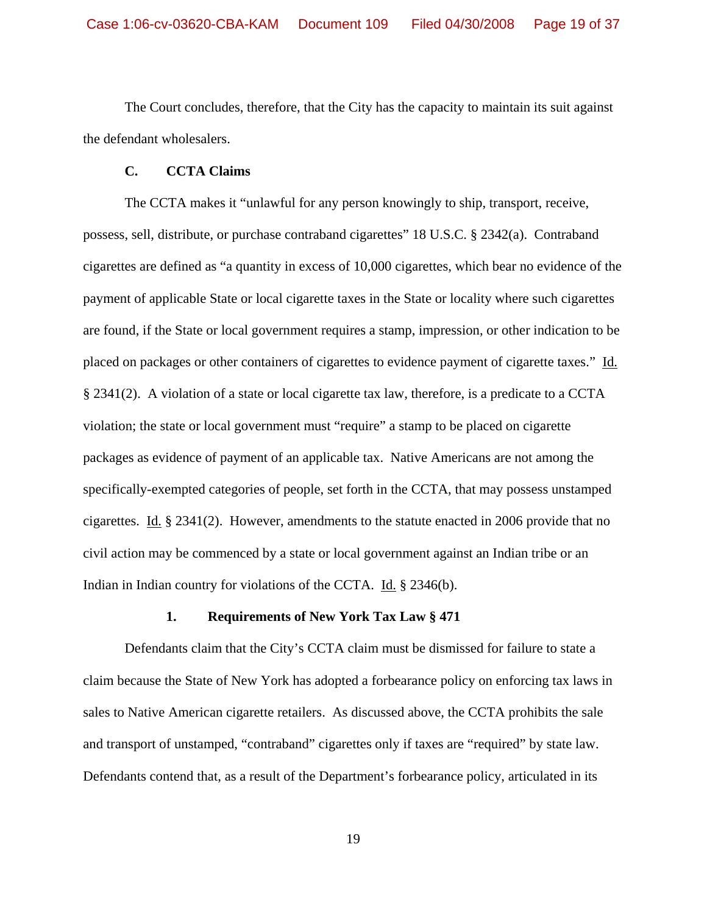The Court concludes, therefore, that the City has the capacity to maintain its suit against the defendant wholesalers.

## **C. CCTA Claims**

The CCTA makes it "unlawful for any person knowingly to ship, transport, receive, possess, sell, distribute, or purchase contraband cigarettes" 18 U.S.C. § 2342(a). Contraband cigarettes are defined as "a quantity in excess of 10,000 cigarettes, which bear no evidence of the payment of applicable State or local cigarette taxes in the State or locality where such cigarettes are found, if the State or local government requires a stamp, impression, or other indication to be placed on packages or other containers of cigarettes to evidence payment of cigarette taxes." Id. § 2341(2). A violation of a state or local cigarette tax law, therefore, is a predicate to a CCTA violation; the state or local government must "require" a stamp to be placed on cigarette packages as evidence of payment of an applicable tax. Native Americans are not among the specifically-exempted categories of people, set forth in the CCTA, that may possess unstamped cigarettes. Id. § 2341(2).However, amendments to the statute enacted in 2006 provide that no civil action may be commenced by a state or local government against an Indian tribe or an Indian in Indian country for violations of the CCTA. Id. § 2346(b).

### **1. Requirements of New York Tax Law § 471**

Defendants claim that the City's CCTA claim must be dismissed for failure to state a claim because the State of New York has adopted a forbearance policy on enforcing tax laws in sales to Native American cigarette retailers. As discussed above, the CCTA prohibits the sale and transport of unstamped, "contraband" cigarettes only if taxes are "required" by state law. Defendants contend that, as a result of the Department's forbearance policy, articulated in its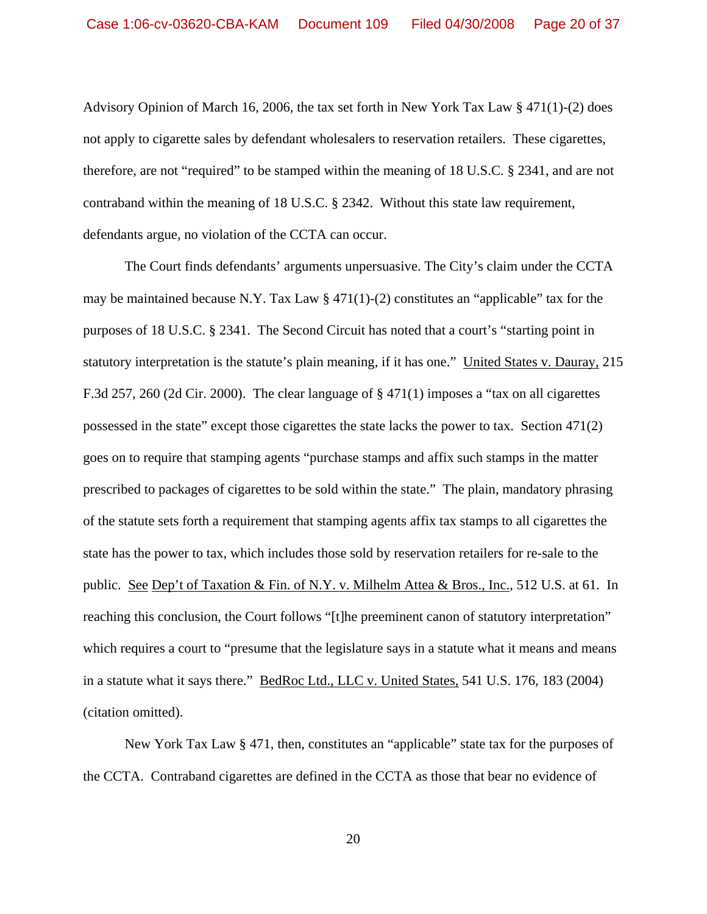Advisory Opinion of March 16, 2006, the tax set forth in New York Tax Law § 471(1)-(2) does not apply to cigarette sales by defendant wholesalers to reservation retailers. These cigarettes, therefore, are not "required" to be stamped within the meaning of 18 U.S.C. § 2341, and are not contraband within the meaning of 18 U.S.C. § 2342. Without this state law requirement, defendants argue, no violation of the CCTA can occur.

The Court finds defendants' arguments unpersuasive. The City's claim under the CCTA may be maintained because N.Y. Tax Law  $\S 471(1)-(2)$  constitutes an "applicable" tax for the purposes of 18 U.S.C. § 2341. The Second Circuit has noted that a court's "starting point in statutory interpretation is the statute's plain meaning, if it has one." United States v. Dauray, 215 F.3d 257, 260 (2d Cir. 2000). The clear language of § 471(1) imposes a "tax on all cigarettes possessed in the state" except those cigarettes the state lacks the power to tax. Section 471(2) goes on to require that stamping agents "purchase stamps and affix such stamps in the matter prescribed to packages of cigarettes to be sold within the state." The plain, mandatory phrasing of the statute sets forth a requirement that stamping agents affix tax stamps to all cigarettes the state has the power to tax, which includes those sold by reservation retailers for re-sale to the public. See Dep't of Taxation & Fin. of N.Y. v. Milhelm Attea & Bros., Inc., 512 U.S. at 61. In reaching this conclusion, the Court follows "[t]he preeminent canon of statutory interpretation" which requires a court to "presume that the legislature says in a statute what it means and means in a statute what it says there." BedRoc Ltd., LLC v. United States, 541 U.S. 176, 183 (2004) (citation omitted).

New York Tax Law § 471, then, constitutes an "applicable" state tax for the purposes of the CCTA. Contraband cigarettes are defined in the CCTA as those that bear no evidence of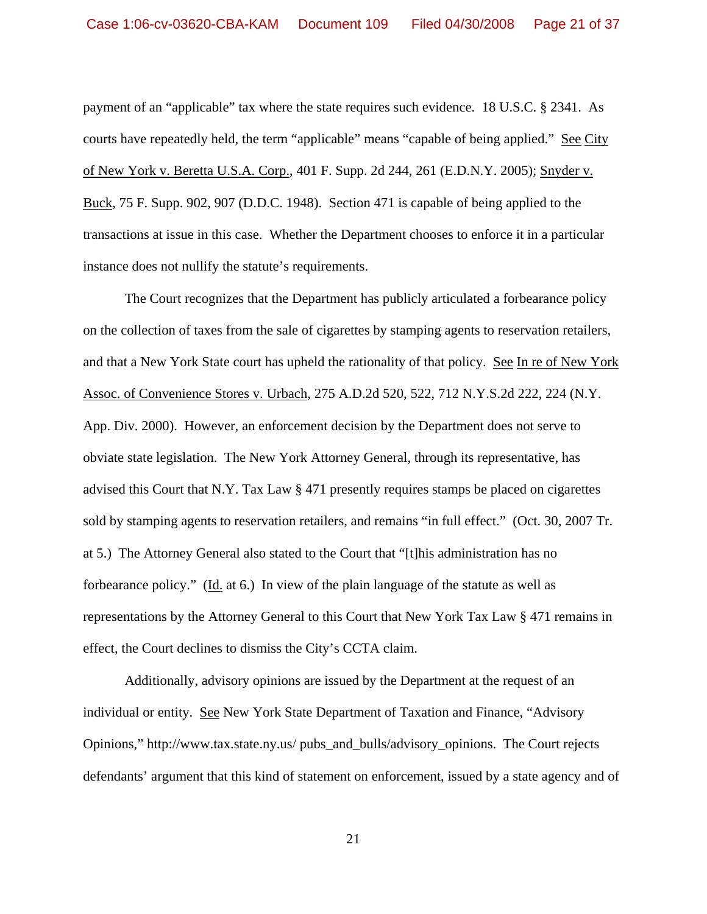payment of an "applicable" tax where the state requires such evidence. 18 U.S.C. § 2341. As courts have repeatedly held, the term "applicable" means "capable of being applied." See City of New York v. Beretta U.S.A. Corp., 401 F. Supp. 2d 244, 261 (E.D.N.Y. 2005); Snyder v. Buck, 75 F. Supp. 902, 907 (D.D.C. 1948). Section 471 is capable of being applied to the transactions at issue in this case. Whether the Department chooses to enforce it in a particular instance does not nullify the statute's requirements.

The Court recognizes that the Department has publicly articulated a forbearance policy on the collection of taxes from the sale of cigarettes by stamping agents to reservation retailers, and that a New York State court has upheld the rationality of that policy. See In re of New York Assoc. of Convenience Stores v. Urbach, 275 A.D.2d 520, 522, 712 N.Y.S.2d 222, 224 (N.Y. App. Div. 2000). However, an enforcement decision by the Department does not serve to obviate state legislation.The New York Attorney General, through its representative, has advised this Court that N.Y. Tax Law § 471 presently requires stamps be placed on cigarettes sold by stamping agents to reservation retailers, and remains "in full effect." (Oct. 30, 2007 Tr. at 5.) The Attorney General also stated to the Court that "[t]his administration has no forbearance policy." (Id. at 6.) In view of the plain language of the statute as well as representations by the Attorney General to this Court that New York Tax Law § 471 remains in effect, the Court declines to dismiss the City's CCTA claim.

Additionally, advisory opinions are issued by the Department at the request of an individual or entity. See New York State Department of Taxation and Finance, "Advisory Opinions," http://www.tax.state.ny.us/ pubs\_and\_bulls/advisory\_opinions. The Court rejects defendants' argument that this kind of statement on enforcement, issued by a state agency and of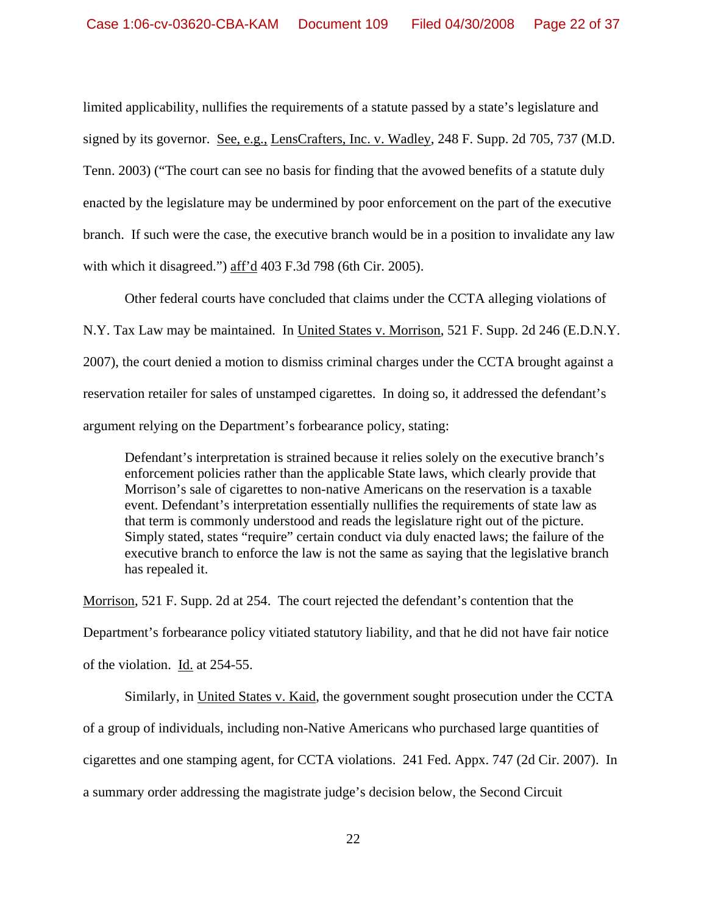limited applicability, nullifies the requirements of a statute passed by a state's legislature and signed by its governor. See, e.g., LensCrafters, Inc. v. Wadley, 248 F. Supp. 2d 705, 737 (M.D. Tenn. 2003) ("The court can see no basis for finding that the avowed benefits of a statute duly enacted by the legislature may be undermined by poor enforcement on the part of the executive branch. If such were the case, the executive branch would be in a position to invalidate any law with which it disagreed.") aff'd 403 F.3d 798 (6th Cir. 2005).

Other federal courts have concluded that claims under the CCTA alleging violations of N.Y. Tax Law may be maintained. In United States v. Morrison, 521 F. Supp. 2d 246 (E.D.N.Y. 2007), the court denied a motion to dismiss criminal charges under the CCTA brought against a reservation retailer for sales of unstamped cigarettes. In doing so, it addressed the defendant's argument relying on the Department's forbearance policy, stating:

Defendant's interpretation is strained because it relies solely on the executive branch's enforcement policies rather than the applicable State laws, which clearly provide that Morrison's sale of cigarettes to non-native Americans on the reservation is a taxable event. Defendant's interpretation essentially nullifies the requirements of state law as that term is commonly understood and reads the legislature right out of the picture. Simply stated, states "require" certain conduct via duly enacted laws; the failure of the executive branch to enforce the law is not the same as saying that the legislative branch has repealed it.

Morrison, 521 F. Supp. 2d at 254. The court rejected the defendant's contention that the Department's forbearance policy vitiated statutory liability, and that he did not have fair notice of the violation. Id. at 254-55.

 Similarly, in United States v. Kaid, the government sought prosecution under the CCTA of a group of individuals, including non-Native Americans who purchased large quantities of cigarettes and one stamping agent, for CCTA violations. 241 Fed. Appx. 747 (2d Cir. 2007). In a summary order addressing the magistrate judge's decision below, the Second Circuit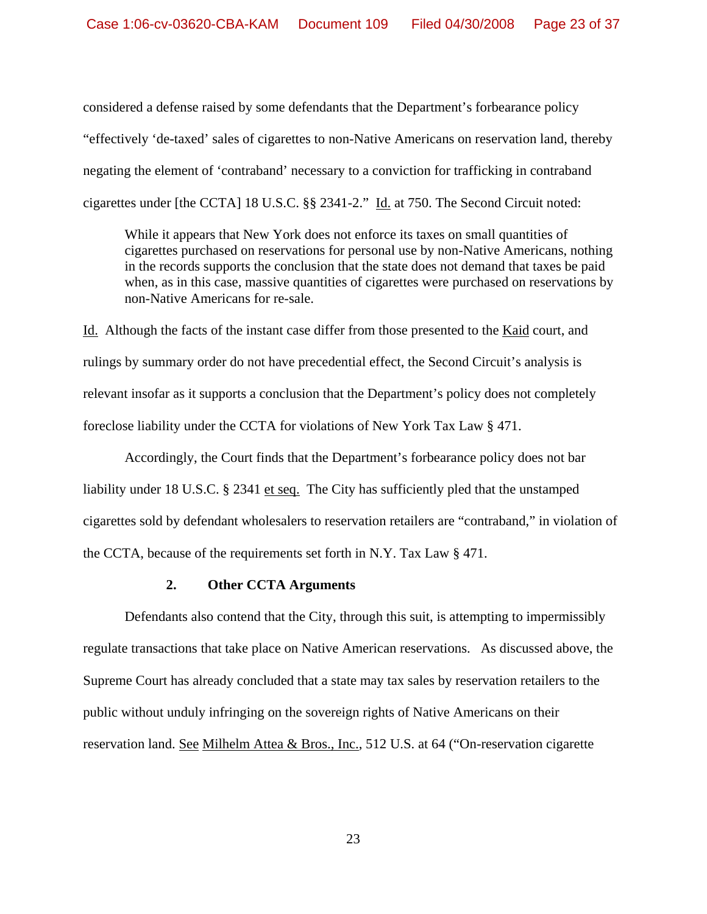considered a defense raised by some defendants that the Department's forbearance policy "effectively 'de-taxed' sales of cigarettes to non-Native Americans on reservation land, thereby negating the element of 'contraband' necessary to a conviction for trafficking in contraband cigarettes under [the CCTA] 18 U.S.C. §§ 2341-2." Id. at 750. The Second Circuit noted:

 While it appears that New York does not enforce its taxes on small quantities of cigarettes purchased on reservations for personal use by non-Native Americans, nothing in the records supports the conclusion that the state does not demand that taxes be paid when, as in this case, massive quantities of cigarettes were purchased on reservations by non-Native Americans for re-sale.

Id. Although the facts of the instant case differ from those presented to the Kaid court, and rulings by summary order do not have precedential effect, the Second Circuit's analysis is relevant insofar as it supports a conclusion that the Department's policy does not completely foreclose liability under the CCTA for violations of New York Tax Law § 471.

 Accordingly, the Court finds that the Department's forbearance policy does not bar liability under 18 U.S.C. § 2341 et seq.The City has sufficiently pled that the unstamped cigarettes sold by defendant wholesalers to reservation retailers are "contraband," in violation of the CCTA, because of the requirements set forth in N.Y. Tax Law § 471.

#### **2. Other CCTA Arguments**

 Defendants also contend that the City, through this suit, is attempting to impermissibly regulate transactions that take place on Native American reservations. As discussed above, the Supreme Court has already concluded that a state may tax sales by reservation retailers to the public without unduly infringing on the sovereign rights of Native Americans on their reservation land. See Milhelm Attea & Bros., Inc., 512 U.S. at 64 ("On-reservation cigarette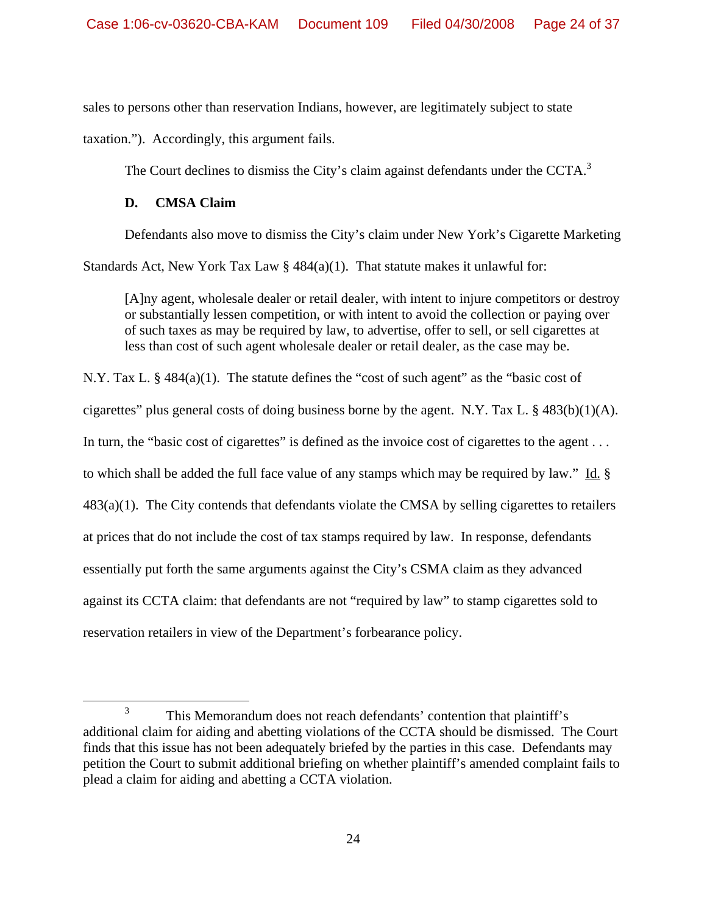sales to persons other than reservation Indians, however, are legitimately subject to state

taxation."). Accordingly, this argument fails.

The Court declines to dismiss the City's claim against defendants under the CCTA.<sup>3</sup>

## **D. CMSA Claim**

Defendants also move to dismiss the City's claim under New York's Cigarette Marketing

Standards Act, New York Tax Law  $\S$  484(a)(1). That statute makes it unlawful for:

 [A]ny agent, wholesale dealer or retail dealer, with intent to injure competitors or destroy or substantially lessen competition, or with intent to avoid the collection or paying over of such taxes as may be required by law, to advertise, offer to sell, or sell cigarettes at less than cost of such agent wholesale dealer or retail dealer, as the case may be.

N.Y. Tax L. § 484(a)(1). The statute defines the "cost of such agent" as the "basic cost of cigarettes" plus general costs of doing business borne by the agent. N.Y. Tax L. § 483(b)(1)(A). In turn, the "basic cost of cigarettes" is defined as the invoice cost of cigarettes to the agent . . . to which shall be added the full face value of any stamps which may be required by law." Id. § 483(a)(1). The City contends that defendants violate the CMSA by selling cigarettes to retailers at prices that do not include the cost of tax stamps required by law. In response, defendants essentially put forth the same arguments against the City's CSMA claim as they advanced against its CCTA claim: that defendants are not "required by law" to stamp cigarettes sold to reservation retailers in view of the Department's forbearance policy.

 $\frac{1}{3}$  This Memorandum does not reach defendants' contention that plaintiff's additional claim for aiding and abetting violations of the CCTA should be dismissed. The Court finds that this issue has not been adequately briefed by the parties in this case. Defendants may petition the Court to submit additional briefing on whether plaintiff's amended complaint fails to plead a claim for aiding and abetting a CCTA violation.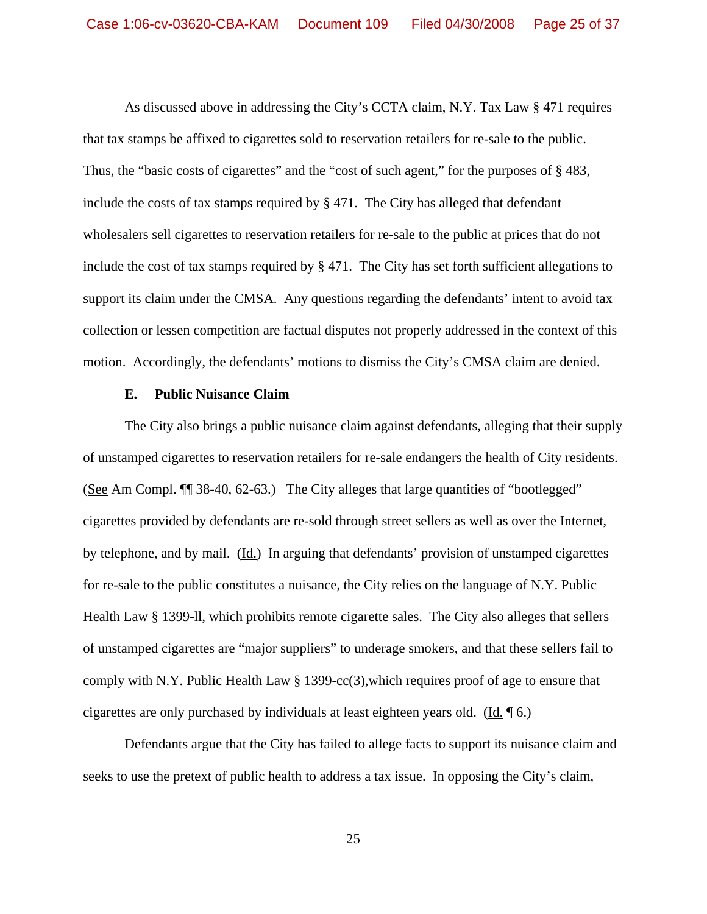As discussed above in addressing the City's CCTA claim, N.Y. Tax Law § 471 requires that tax stamps be affixed to cigarettes sold to reservation retailers for re-sale to the public. Thus, the "basic costs of cigarettes" and the "cost of such agent," for the purposes of §483, include the costs of tax stamps required by § 471. The City has alleged that defendant wholesalers sell cigarettes to reservation retailers for re-sale to the public at prices that do not include the cost of tax stamps required by § 471. The City has set forth sufficient allegations to support its claim under the CMSA. Any questions regarding the defendants' intent to avoid tax collection or lessen competition are factual disputes not properly addressed in the context of this motion. Accordingly, the defendants' motions to dismiss the City's CMSA claim are denied.

#### **E. Public Nuisance Claim**

 The City also brings a public nuisance claim against defendants, alleging that their supply of unstamped cigarettes to reservation retailers for re-sale endangers the health of City residents. (See Am Compl. ¶¶ 38-40, 62-63.) The City alleges that large quantities of "bootlegged" cigarettes provided by defendants are re-sold through street sellers as well as over the Internet, by telephone, and by mail. (Id.) In arguing that defendants' provision of unstamped cigarettes for re-sale to the public constitutes a nuisance, the City relies on the language of N.Y. Public Health Law § 1399-ll, which prohibits remote cigarette sales. The City also alleges that sellers of unstamped cigarettes are "major suppliers" to underage smokers, and that these sellers fail to comply with N.Y. Public Health Law § 1399-cc(3),which requires proof of age to ensure that cigarettes are only purchased by individuals at least eighteen years old. (Id. ¶ 6.)

 Defendants argue that the City has failed to allege facts to support its nuisance claim and seeks to use the pretext of public health to address a tax issue. In opposing the City's claim,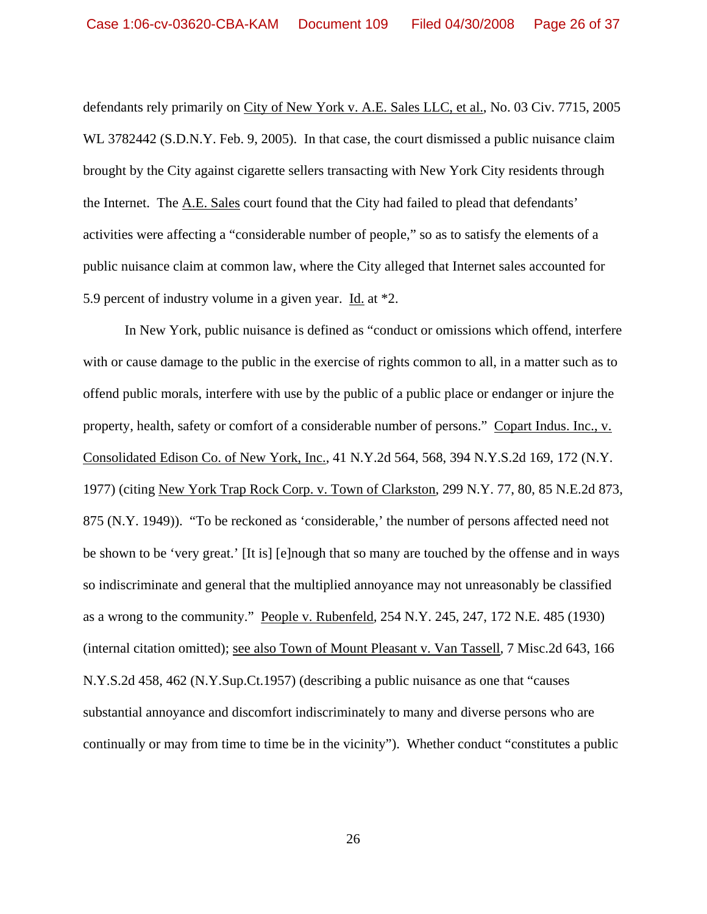defendants rely primarily on City of New York v. A.E. Sales LLC, et al., No. 03 Civ. 7715, 2005 WL 3782442 (S.D.N.Y. Feb. 9, 2005). In that case, the court dismissed a public nuisance claim brought by the City against cigarette sellers transacting with New York City residents through the Internet. The A.E. Sales court found that the City had failed to plead that defendants' activities were affecting a "considerable number of people," so as to satisfy the elements of a public nuisance claim at common law, where the City alleged that Internet sales accounted for 5.9 percent of industry volume in a given year. Id. at \*2.

 In New York, public nuisance is defined as "conduct or omissions which offend, interfere with or cause damage to the public in the exercise of rights common to all, in a matter such as to offend public morals, interfere with use by the public of a public place or endanger or injure the property, health, safety or comfort of a considerable number of persons." Copart Indus. Inc., v. Consolidated Edison Co. of New York, Inc., 41 N.Y.2d 564, 568, 394 N.Y.S.2d 169, 172 (N.Y. 1977) (citing New York Trap Rock Corp. v. Town of Clarkston, 299 N.Y. 77, 80, 85 N.E.2d 873, 875 (N.Y. 1949)). "To be reckoned as 'considerable,' the number of persons affected need not be shown to be 'very great.' [It is] [e]nough that so many are touched by the offense and in ways so indiscriminate and general that the multiplied annoyance may not unreasonably be classified as a wrong to the community." People v. Rubenfeld*,* 254 N.Y. 245, 247, 172 N.E. 485 (1930) (internal citation omitted); see also Town of Mount Pleasant v. Van Tassell*,* 7 Misc.2d 643, 166 N.Y.S.2d 458, 462 (N.Y.Sup.Ct.1957) (describing a public nuisance as one that "causes substantial annoyance and discomfort indiscriminately to many and diverse persons who are continually or may from time to time be in the vicinity"). Whether conduct "constitutes a public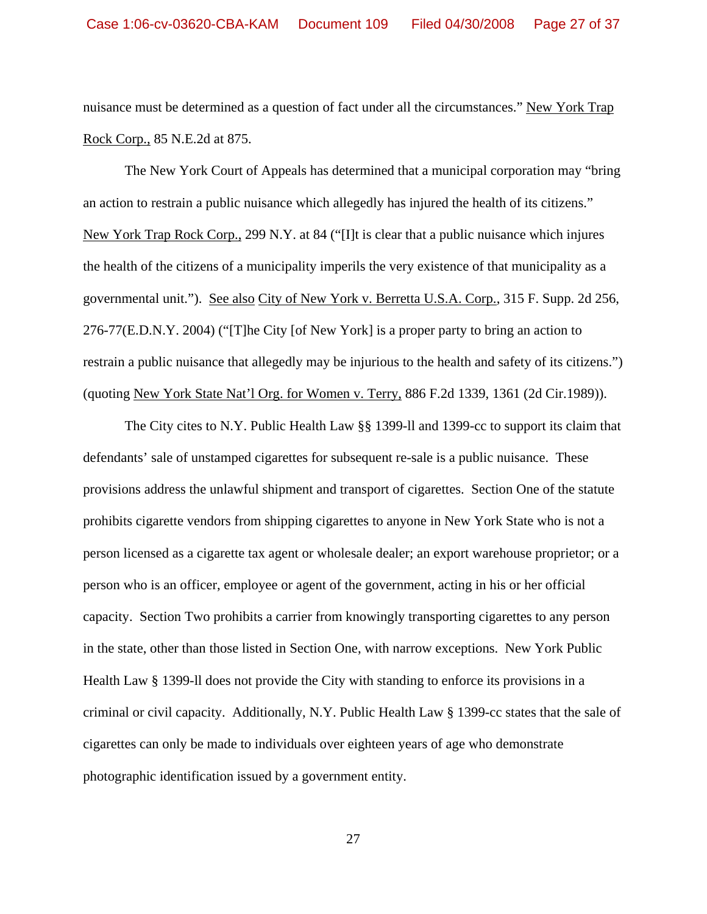nuisance must be determined as a question of fact under all the circumstances." New York Trap Rock Corp., 85 N.E.2d at 875.

 The New York Court of Appeals has determined that a municipal corporation may "bring an action to restrain a public nuisance which allegedly has injured the health of its citizens." New York Trap Rock Corp., 299 N.Y. at 84 ("[I]t is clear that a public nuisance which injures the health of the citizens of a municipality imperils the very existence of that municipality as a governmental unit."). See also City of New York v. Berretta U.S.A. Corp., 315 F. Supp. 2d 256, 276-77(E.D.N.Y. 2004) ("[T]he City [of New York] is a proper party to bring an action to restrain a public nuisance that allegedly may be injurious to the health and safety of its citizens.") (quoting New York State Nat'l Org. for Women v. Terry, 886 F.2d 1339, 1361 (2d Cir.1989)).

 The City cites to N.Y. Public Health Law §§ 1399-ll and 1399-cc to support its claim that defendants' sale of unstamped cigarettes for subsequent re-sale is a public nuisance. These provisions address the unlawful shipment and transport of cigarettes. Section One of the statute prohibits cigarette vendors from shipping cigarettes to anyone in New York State who is not a person licensed as a cigarette tax agent or wholesale dealer; an export warehouse proprietor; or a person who is an officer, employee or agent of the government, acting in his or her official capacity. Section Two prohibits a carrier from knowingly transporting cigarettes to any person in the state, other than those listed in Section One, with narrow exceptions. New York Public Health Law § 1399-ll does not provide the City with standing to enforce its provisions in a criminal or civil capacity. Additionally, N.Y. Public Health Law § 1399-cc states that the sale of cigarettes can only be made to individuals over eighteen years of age who demonstrate photographic identification issued by a government entity.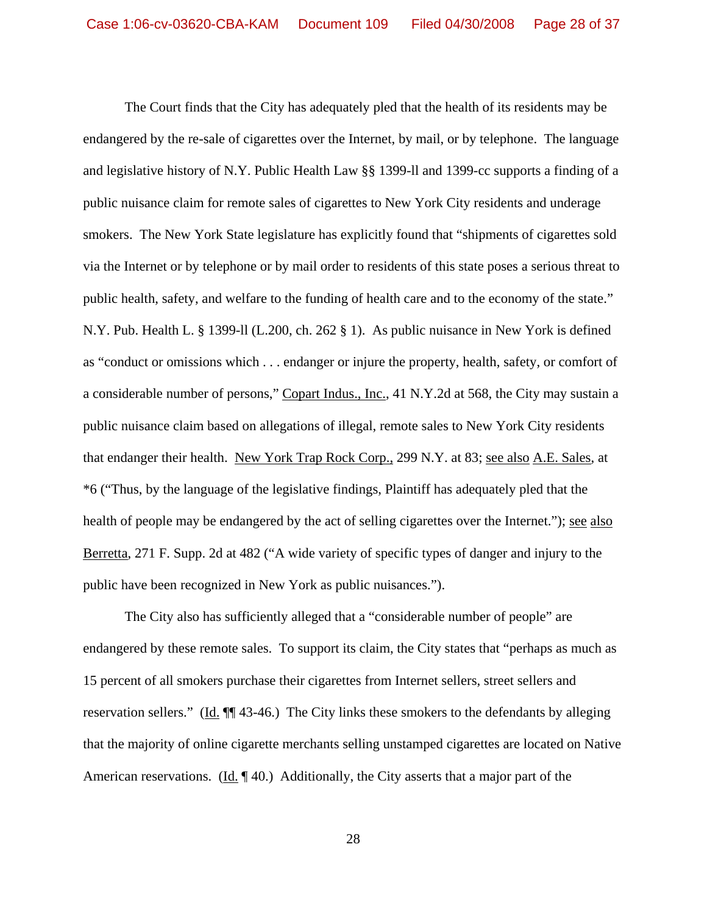The Court finds that the City has adequately pled that the health of its residents may be endangered by the re-sale of cigarettes over the Internet, by mail, or by telephone.The language and legislative history of N.Y. Public Health Law §§ 1399-ll and 1399-cc supports a finding of a public nuisance claim for remote sales of cigarettes to New York City residents and underage smokers. The New York State legislature has explicitly found that "shipments of cigarettes sold via the Internet or by telephone or by mail order to residents of this state poses a serious threat to public health, safety, and welfare to the funding of health care and to the economy of the state." N.Y. Pub. Health L. § 1399-ll (L.200, ch. 262 § 1). As public nuisance in New York is defined as "conduct or omissions which . . . endanger or injure the property, health, safety, or comfort of a considerable number of persons," Copart Indus., Inc., 41 N.Y.2d at 568, the City may sustain a public nuisance claim based on allegations of illegal, remote sales to New York City residents that endanger their health. New York Trap Rock Corp., 299 N.Y. at 83; see also A.E. Sales, at \*6 ("Thus, by the language of the legislative findings, Plaintiff has adequately pled that the health of people may be endangered by the act of selling cigarettes over the Internet."); see also Berretta, 271 F. Supp. 2d at 482 ("A wide variety of specific types of danger and injury to the public have been recognized in New York as public nuisances.").

 The City also has sufficiently alleged that a "considerable number of people" are endangered by these remote sales. To support its claim, the City states that "perhaps as much as 15 percent of all smokers purchase their cigarettes from Internet sellers, street sellers and reservation sellers." (Id. ¶¶ 43-46.) The City links these smokers to the defendants by alleging that the majority of online cigarette merchants selling unstamped cigarettes are located on Native American reservations. (Id. 140.) Additionally, the City asserts that a major part of the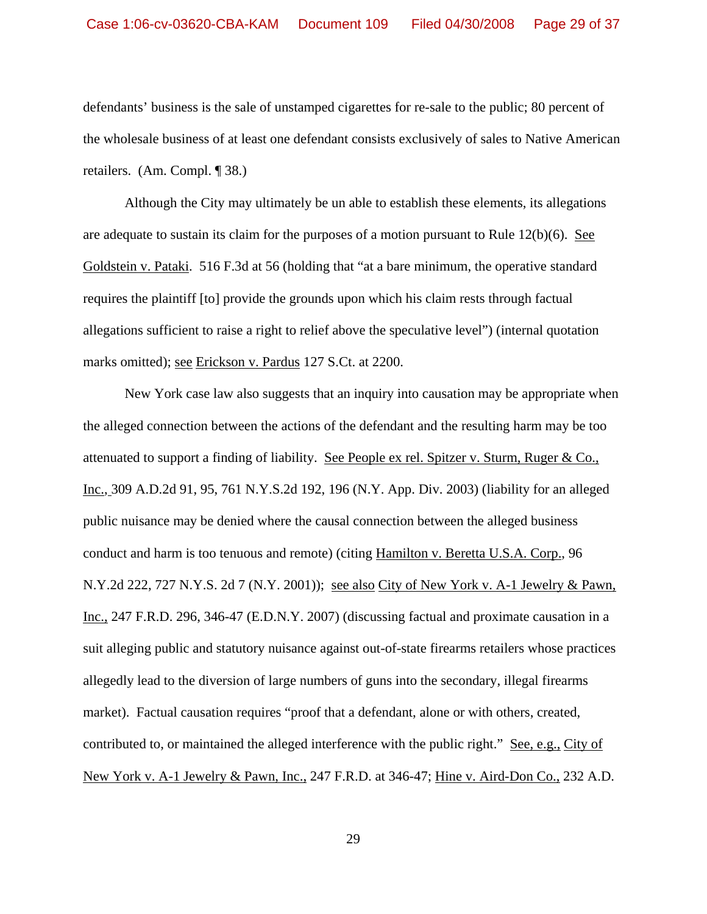defendants' business is the sale of unstamped cigarettes for re-sale to the public; 80 percent of the wholesale business of at least one defendant consists exclusively of sales to Native American retailers. (Am. Compl. ¶ 38.)

 Although the City may ultimately be un able to establish these elements, its allegations are adequate to sustain its claim for the purposes of a motion pursuant to Rule 12(b)(6). See Goldstein v. Pataki. 516 F.3d at 56 (holding that "at a bare minimum, the operative standard requires the plaintiff [to] provide the grounds upon which his claim rests through factual allegations sufficient to raise a right to relief above the speculative level") (internal quotation marks omitted); see Erickson v. Pardus 127 S.Ct. at 2200.

 New York case law also suggests that an inquiry into causation may be appropriate when the alleged connection between the actions of the defendant and the resulting harm may be too attenuated to support a finding of liability. See People ex rel. Spitzer v. Sturm, Ruger & Co., Inc., 309 A.D.2d 91, 95, 761 N.Y.S.2d 192, 196 (N.Y. App. Div. 2003) (liability for an alleged public nuisance may be denied where the causal connection between the alleged business conduct and harm is too tenuous and remote) (citing Hamilton v. Beretta U.S.A. Corp., 96 N.Y.2d 222, 727 N.Y.S. 2d 7 (N.Y. 2001)); see also City of New York v. A-1 Jewelry & Pawn, Inc., 247 F.R.D. 296, 346-47 (E.D.N.Y. 2007) (discussing factual and proximate causation in a suit alleging public and statutory nuisance against out-of-state firearms retailers whose practices allegedly lead to the diversion of large numbers of guns into the secondary, illegal firearms market). Factual causation requires "proof that a defendant, alone or with others, created, contributed to, or maintained the alleged interference with the public right." See, e.g., City of New York v. A-1 Jewelry & Pawn, Inc., 247 F.R.D. at 346-47; Hine v. Aird-Don Co., 232 A.D.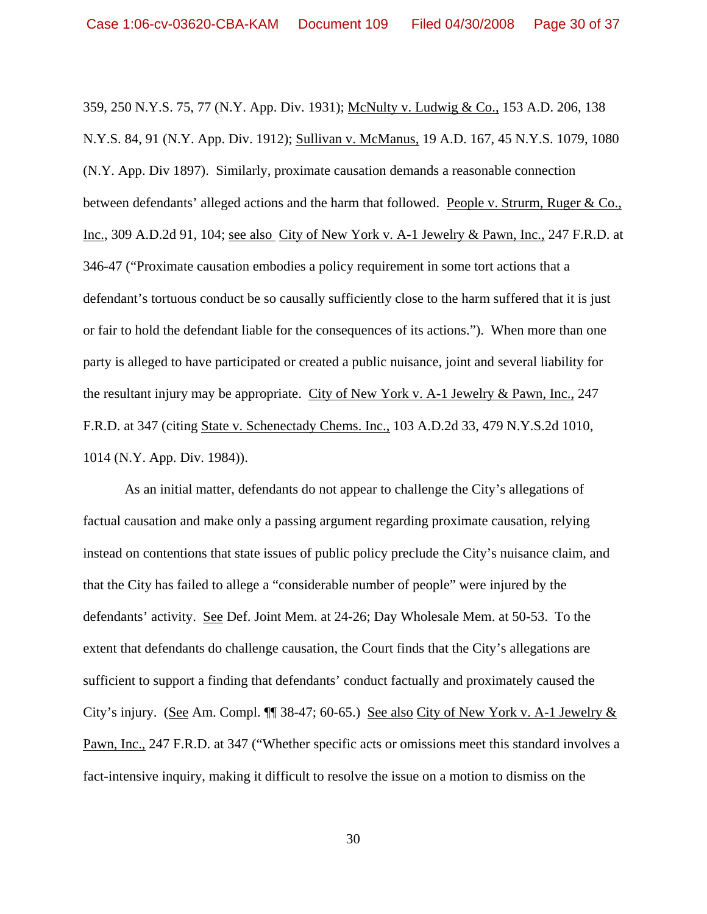359, 250 N.Y.S. 75, 77 (N.Y. App. Div. 1931); McNulty v. Ludwig & Co., 153 A.D. 206, 138 N.Y.S. 84, 91 (N.Y. App. Div. 1912); Sullivan v. McManus, 19 A.D. 167, 45 N.Y.S. 1079, 1080 (N.Y. App. Div 1897). Similarly, proximate causation demands a reasonable connection between defendants' alleged actions and the harm that followed. People v. Strurm, Ruger & Co., Inc., 309 A.D.2d 91, 104; see also City of New York v. A-1 Jewelry & Pawn, Inc., 247 F.R.D. at 346-47 ("Proximate causation embodies a policy requirement in some tort actions that a defendant's tortuous conduct be so causally sufficiently close to the harm suffered that it is just or fair to hold the defendant liable for the consequences of its actions."). When more than one party is alleged to have participated or created a public nuisance, joint and several liability for the resultant injury may be appropriate. City of New York v. A-1 Jewelry & Pawn, Inc., 247 F.R.D. at 347 (citing State v. Schenectady Chems. Inc., 103 A.D.2d 33, 479 N.Y.S.2d 1010, 1014 (N.Y. App. Div. 1984)).

 As an initial matter, defendants do not appear to challenge the City's allegations of factual causation and make only a passing argument regarding proximate causation, relying instead on contentions that state issues of public policy preclude the City's nuisance claim, and that the City has failed to allege a "considerable number of people" were injured by the defendants' activity. See Def. Joint Mem. at 24-26; Day Wholesale Mem. at 50-53. To the extent that defendants do challenge causation, the Court finds that the City's allegations are sufficient to support a finding that defendants' conduct factually and proximately caused the City's injury. (See Am. Compl. ¶¶ 38-47; 60-65.) See also City of New York v. A-1 Jewelry & Pawn, Inc., 247 F.R.D. at 347 ("Whether specific acts or omissions meet this standard involves a fact-intensive inquiry, making it difficult to resolve the issue on a motion to dismiss on the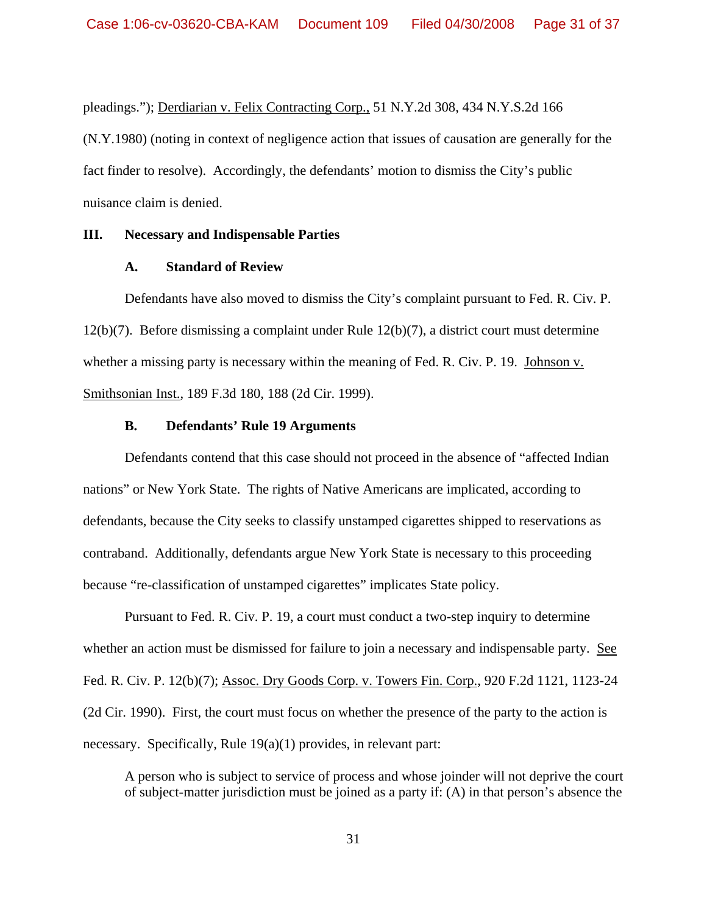pleadings."); Derdiarian v. Felix Contracting Corp., 51 N.Y.2d 308, 434 N.Y.S.2d 166 (N.Y.1980) (noting in context of negligence action that issues of causation are generally for the fact finder to resolve). Accordingly, the defendants' motion to dismiss the City's public nuisance claim is denied.

#### **III. Necessary and Indispensable Parties**

## **A. Standard of Review**

Defendants have also moved to dismiss the City's complaint pursuant to Fed. R. Civ. P. 12(b)(7). Before dismissing a complaint under Rule 12(b)(7), a district court must determine whether a missing party is necessary within the meaning of Fed. R. Civ. P. 19. Johnson v. Smithsonian Inst., 189 F.3d 180, 188 (2d Cir. 1999).

## **B. Defendants' Rule 19 Arguments**

 Defendants contend that this case should not proceed in the absence of "affected Indian nations" or New York State. The rights of Native Americans are implicated, according to defendants, because the City seeks to classify unstamped cigarettes shipped to reservations as contraband. Additionally, defendants argue New York State is necessary to this proceeding because "re-classification of unstamped cigarettes" implicates State policy.

 Pursuant to Fed. R. Civ. P. 19, a court must conduct a two-step inquiry to determine whether an action must be dismissed for failure to join a necessary and indispensable party. See Fed. R. Civ. P. 12(b)(7); Assoc. Dry Goods Corp. v. Towers Fin. Corp., 920 F.2d 1121, 1123-24 (2d Cir. 1990). First, the court must focus on whether the presence of the party to the action is necessary. Specifically, Rule 19(a)(1) provides, in relevant part:

A person who is subject to service of process and whose joinder will not deprive the court of subject-matter jurisdiction must be joined as a party if: (A) in that person's absence the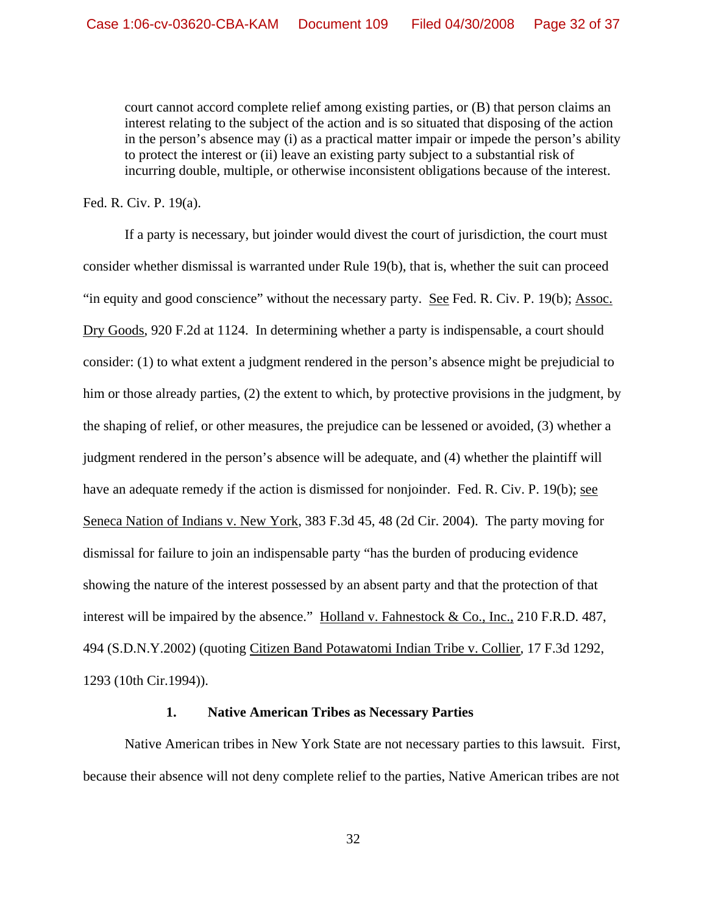court cannot accord complete relief among existing parties, or (B) that person claims an interest relating to the subject of the action and is so situated that disposing of the action in the person's absence may (i) as a practical matter impair or impede the person's ability to protect the interest or (ii) leave an existing party subject to a substantial risk of incurring double, multiple, or otherwise inconsistent obligations because of the interest.

Fed. R. Civ. P. 19(a).

 If a party is necessary, but joinder would divest the court of jurisdiction, the court must consider whether dismissal is warranted under Rule 19(b), that is, whether the suit can proceed "in equity and good conscience" without the necessary party. See Fed. R. Civ. P. 19(b); Assoc. Dry Goods, 920 F.2d at 1124. In determining whether a party is indispensable, a court should consider: (1) to what extent a judgment rendered in the person's absence might be prejudicial to him or those already parties, (2) the extent to which, by protective provisions in the judgment, by the shaping of relief, or other measures, the prejudice can be lessened or avoided, (3) whether a judgment rendered in the person's absence will be adequate, and (4) whether the plaintiff will have an adequate remedy if the action is dismissed for nonjoinder.Fed. R. Civ. P. 19(b); see Seneca Nation of Indians v. New York, 383 F.3d 45, 48 (2d Cir. 2004). The party moving for dismissal for failure to join an indispensable party "has the burden of producing evidence showing the nature of the interest possessed by an absent party and that the protection of that interest will be impaired by the absence." Holland v. Fahnestock & Co., Inc., 210 F.R.D. 487, 494 (S.D.N.Y.2002) (quoting Citizen Band Potawatomi Indian Tribe v. Collier*,* 17 F.3d 1292, 1293 (10th Cir.1994)).

#### **1. Native American Tribes as Necessary Parties**

 Native American tribes in New York State are not necessary parties to this lawsuit. First, because their absence will not deny complete relief to the parties, Native American tribes are not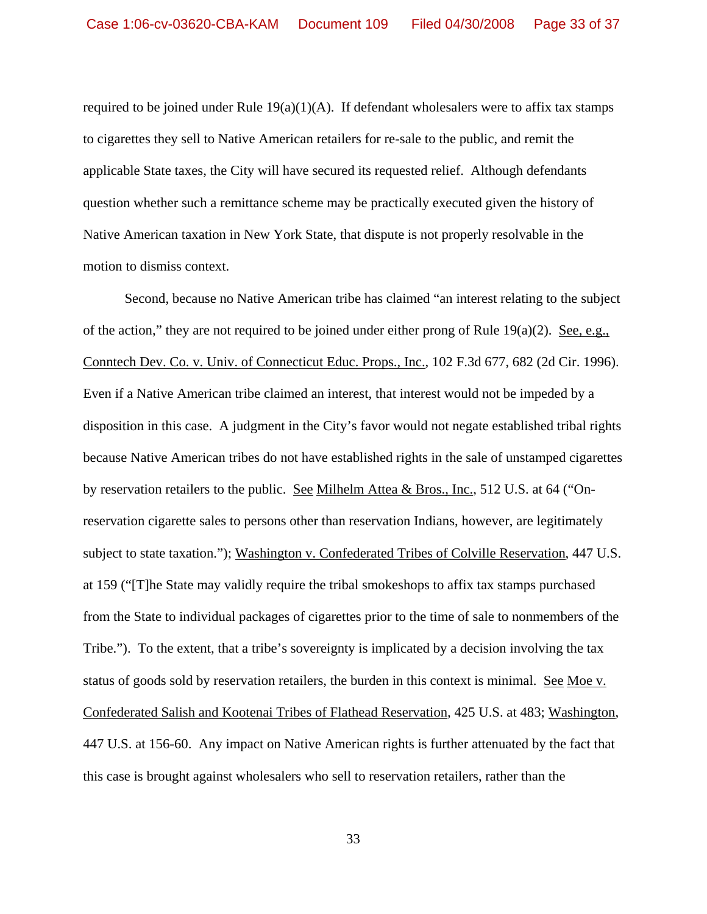required to be joined under Rule  $19(a)(1)(A)$ . If defendant wholesalers were to affix tax stamps to cigarettes they sell to Native American retailers for re-sale to the public, and remit the applicable State taxes, the City will have secured its requested relief. Although defendants question whether such a remittance scheme may be practically executed given the history of Native American taxation in New York State, that dispute is not properly resolvable in the motion to dismiss context.

 Second, because no Native American tribe has claimed "an interest relating to the subject of the action," they are not required to be joined under either prong of Rule 19(a)(2). See, e.g., Conntech Dev. Co. v. Univ. of Connecticut Educ. Props., Inc., 102 F.3d 677, 682 (2d Cir. 1996). Even if a Native American tribe claimed an interest, that interest would not be impeded by a disposition in this case. A judgment in the City's favor would not negate established tribal rights because Native American tribes do not have established rights in the sale of unstamped cigarettes by reservation retailers to the public. See Milhelm Attea & Bros., Inc., 512 U.S. at 64 ("Onreservation cigarette sales to persons other than reservation Indians, however, are legitimately subject to state taxation."); Washington v. Confederated Tribes of Colville Reservation, 447 U.S. at 159 ("[T]he State may validly require the tribal smokeshops to affix tax stamps purchased from the State to individual packages of cigarettes prior to the time of sale to nonmembers of the Tribe."). To the extent, that a tribe's sovereignty is implicated by a decision involving the tax status of goods sold by reservation retailers, the burden in this context is minimal. See Moe v. Confederated Salish and Kootenai Tribes of Flathead Reservation*,* 425 U.S. at 483; Washington, 447 U.S. at 156-60. Any impact on Native American rights is further attenuated by the fact that this case is brought against wholesalers who sell to reservation retailers, rather than the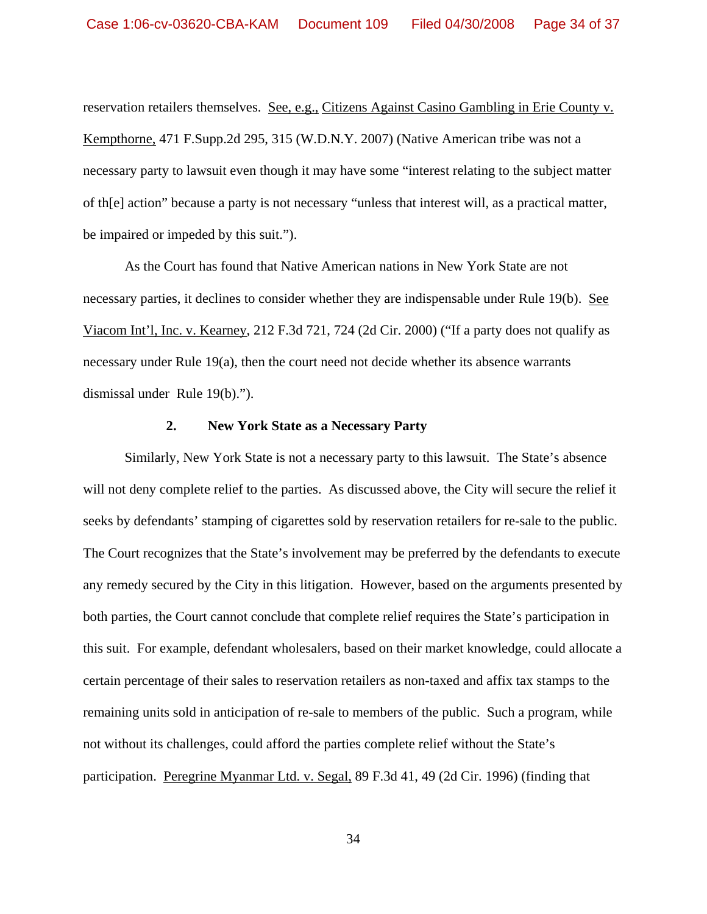reservation retailers themselves. See, e.g., Citizens Against Casino Gambling in Erie County v. Kempthorne, 471 F.Supp.2d 295, 315 (W.D.N.Y. 2007) (Native American tribe was not a necessary party to lawsuit even though it may have some "interest relating to the subject matter of th[e] action" because a party is not necessary "unless that interest will, as a practical matter, be impaired or impeded by this suit.").

 As the Court has found that Native American nations in New York State are not necessary parties, it declines to consider whether they are indispensable under Rule 19(b). See Viacom Int'l, Inc. v. Kearney, 212 F.3d 721, 724 (2d Cir. 2000) ("If a party does not qualify as necessary under Rule 19(a), then the court need not decide whether its absence warrants dismissal under Rule 19(b).").

## **2. New York State as a Necessary Party**

 Similarly, New York State is not a necessary party to this lawsuit. The State's absence will not deny complete relief to the parties. As discussed above, the City will secure the relief it seeks by defendants' stamping of cigarettes sold by reservation retailers for re-sale to the public. The Court recognizes that the State's involvement may be preferred by the defendants to execute any remedy secured by the City in this litigation. However, based on the arguments presented by both parties, the Court cannot conclude that complete relief requires the State's participation in this suit. For example, defendant wholesalers, based on their market knowledge, could allocate a certain percentage of their sales to reservation retailers as non-taxed and affix tax stamps to the remaining units sold in anticipation of re-sale to members of the public. Such a program, while not without its challenges, could afford the parties complete relief without the State's participation. Peregrine Myanmar Ltd. v. Segal, 89 F.3d 41, 49 (2d Cir. 1996) (finding that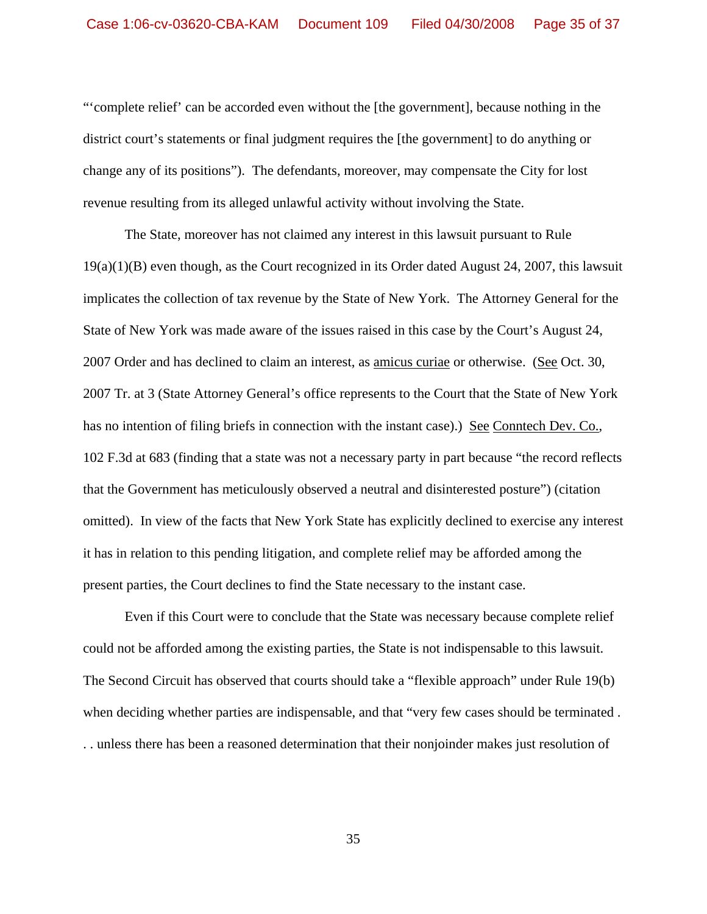"'complete relief' can be accorded even without the [the government], because nothing in the district court's statements or final judgment requires the [the government] to do anything or change any of its positions"). The defendants, moreover, may compensate the City for lost revenue resulting from its alleged unlawful activity without involving the State.

 The State, moreover has not claimed any interest in this lawsuit pursuant to Rule 19(a)(1)(B) even though, as the Court recognized in its Order dated August 24, 2007, this lawsuit implicates the collection of tax revenue by the State of New York. The Attorney General for the State of New York was made aware of the issues raised in this case by the Court's August 24, 2007 Order and has declined to claim an interest, as amicus curiae or otherwise. (See Oct. 30, 2007 Tr. at 3 (State Attorney General's office represents to the Court that the State of New York has no intention of filing briefs in connection with the instant case).) See Conntech Dev. Co., 102 F.3d at 683 (finding that a state was not a necessary party in part because "the record reflects that the Government has meticulously observed a neutral and disinterested posture") (citation omitted). In view of the facts that New York State has explicitly declined to exercise any interest it has in relation to this pending litigation, and complete relief may be afforded among the present parties, the Court declines to find the State necessary to the instant case.

 Even if this Court were to conclude that the State was necessary because complete relief could not be afforded among the existing parties, the State is not indispensable to this lawsuit. The Second Circuit has observed that courts should take a "flexible approach" under Rule 19(b) when deciding whether parties are indispensable, and that "very few cases should be terminated . . . unless there has been a reasoned determination that their nonjoinder makes just resolution of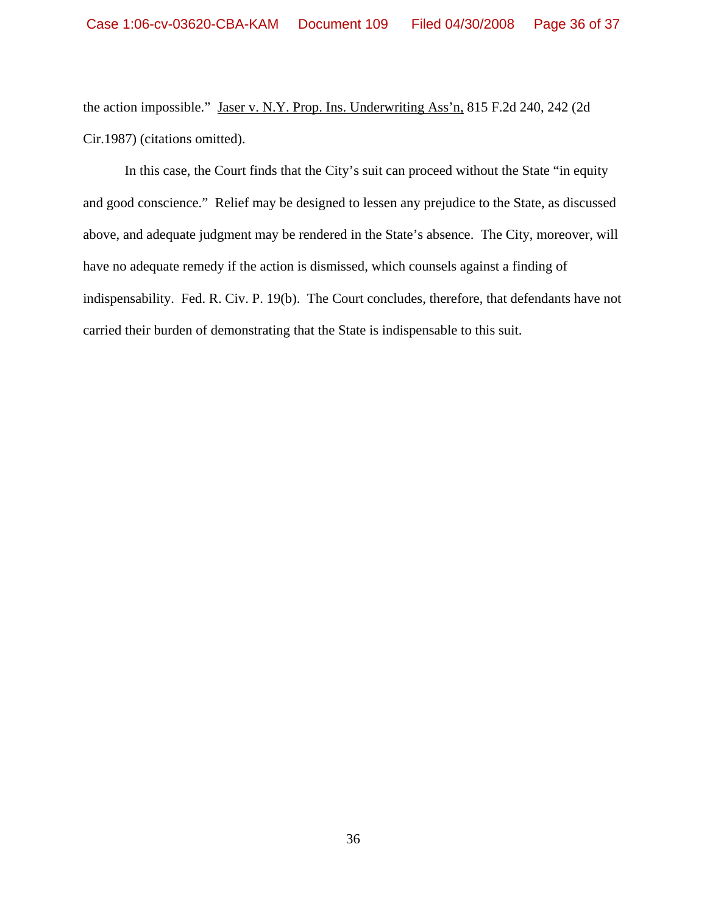the action impossible." Jaser v. N.Y. Prop. Ins. Underwriting Ass'n, 815 F.2d 240, 242 (2d Cir.1987) (citations omitted).

 In this case, the Court finds that the City's suit can proceed without the State "in equity and good conscience." Relief may be designed to lessen any prejudice to the State, as discussed above, and adequate judgment may be rendered in the State's absence. The City, moreover, will have no adequate remedy if the action is dismissed, which counsels against a finding of indispensability. Fed. R. Civ. P. 19(b). The Court concludes, therefore, that defendants have not carried their burden of demonstrating that the State is indispensable to this suit.